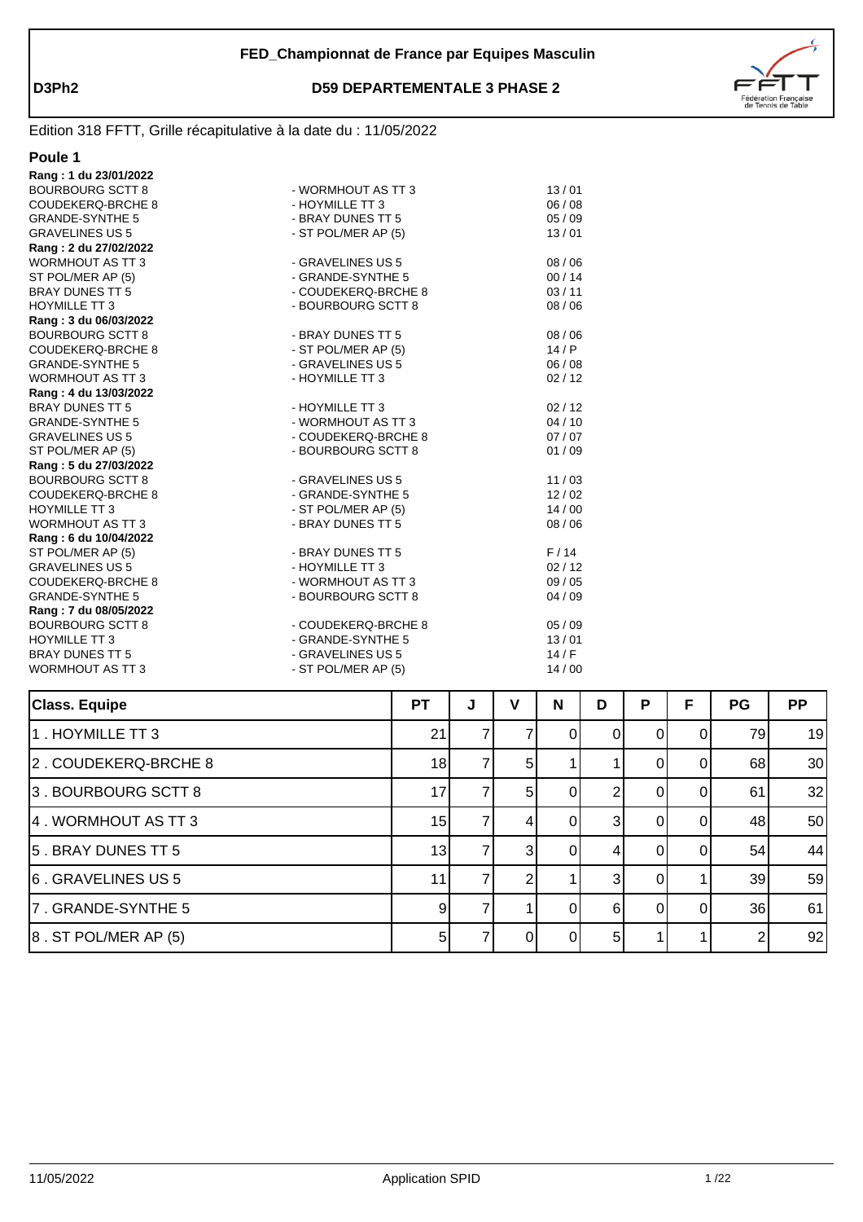

| Ш<br>T |  |
|--------|--|
|        |  |

| Rang: 1 du 23/01/2022    |                     |       |
|--------------------------|---------------------|-------|
| <b>BOURBOURG SCTT 8</b>  | - WORMHOUT AS TT 3  | 13/01 |
| <b>COUDEKERQ-BRCHE 8</b> | - HOYMILLE TT 3     | 06/08 |
| <b>GRANDE-SYNTHE 5</b>   | - BRAY DUNES TT 5   | 05/09 |
| <b>GRAVELINES US 5</b>   | - ST POL/MER AP (5) | 13/01 |
| Rang: 2 du 27/02/2022    |                     |       |
| <b>WORMHOUT AS TT 3</b>  | - GRAVELINES US 5   | 08/06 |
| ST POL/MER AP (5)        | - GRANDE-SYNTHE 5   | 00/14 |
| BRAY DUNES TT 5          | - COUDEKERQ-BRCHE 8 | 03/11 |
| <b>HOYMILLE TT 3</b>     | - BOURBOURG SCTT 8  | 08/06 |
| Rang: 3 du 06/03/2022    |                     |       |
| <b>BOURBOURG SCTT 8</b>  | - BRAY DUNES TT 5   | 08/06 |
| COUDEKERQ-BRCHE 8        | - ST POL/MER AP (5) | 14/P  |
| <b>GRANDE-SYNTHE 5</b>   | - GRAVELINES US 5   | 06/08 |
| <b>WORMHOUT AS TT 3</b>  | - HOYMILLE TT 3     | 02/12 |
| Rang: 4 du 13/03/2022    |                     |       |
| <b>BRAY DUNES TT 5</b>   | - HOYMILLE TT 3     | 02/12 |
| <b>GRANDE-SYNTHE 5</b>   | - WORMHOUT AS TT 3  | 04/10 |
| <b>GRAVELINES US 5</b>   | - COUDEKERQ-BRCHE 8 | 07/07 |
| ST POL/MER AP (5)        | - BOURBOURG SCTT 8  | 01/09 |
| Rang: 5 du 27/03/2022    |                     |       |
| <b>BOURBOURG SCTT 8</b>  | - GRAVELINES US 5   | 11/03 |
| COUDEKERQ-BRCHE 8        | - GRANDE-SYNTHE 5   | 12/02 |
| <b>HOYMILLE TT 3</b>     | - ST POL/MER AP (5) | 14/00 |
| WORMHOUT AS TT 3         | - BRAY DUNES TT 5   | 08/06 |
| Rang: 6 du 10/04/2022    |                     |       |
| ST POL/MER AP (5)        | - BRAY DUNES TT 5   | F/14  |
| <b>GRAVELINES US 5</b>   | - HOYMILLE TT 3     | 02/12 |
| COUDEKERQ-BRCHE 8        | - WORMHOUT AS TT 3  | 09/05 |
| <b>GRANDE-SYNTHE 5</b>   | - BOURBOURG SCTT 8  | 04/09 |
| Rang: 7 du 08/05/2022    |                     |       |
| <b>BOURBOURG SCTT 8</b>  | - COUDEKERQ-BRCHE 8 | 05/09 |
| <b>HOYMILLE TT 3</b>     | - GRANDE-SYNTHE 5   | 13/01 |
| <b>BRAY DUNES TT 5</b>   | - GRAVELINES US 5   | 14/F  |
| <b>WORMHOUT AS TT 3</b>  | - ST POL/MER AP (5) | 14/00 |
|                          |                     |       |

| <b>Class. Equipe</b>       | <b>PT</b>      | J | v              | N | D | P | F  | <b>PG</b> | <b>PP</b> |
|----------------------------|----------------|---|----------------|---|---|---|----|-----------|-----------|
| 1. HOYMILLE TT 3           | 21             |   |                | 0 | 0 | O | 0  | 79        | 19        |
| 2. COUDEKERQ-BRCHE 8       | 18             |   | 51             |   |   |   |    | 68        | 30        |
| 3. BOURBOURG SCTT 8        | 17             |   | 5 <sup>1</sup> |   | ◠ |   |    | 61        | 32        |
| 4. WORMHOUT AS TT 3        | 15             |   | 4              | 0 | 3 |   |    | 48        | 50        |
| 5. BRAY DUNES TT 5         | 13             |   | 3I             | 0 |   |   |    | 54        | 44        |
| 6. GRAVELINES US 5         | 11             |   |                |   | 3 | 0 |    | 39        | 59        |
| 7. GRANDE-SYNTHE 5         | 9              |   |                | 0 | 6 | O | ΩI | 36        | 61        |
| $ 8$ . ST POL/MER AP $(5)$ | 5 <sup>1</sup> |   | $\Omega$       | 0 | 5 |   |    |           | 92        |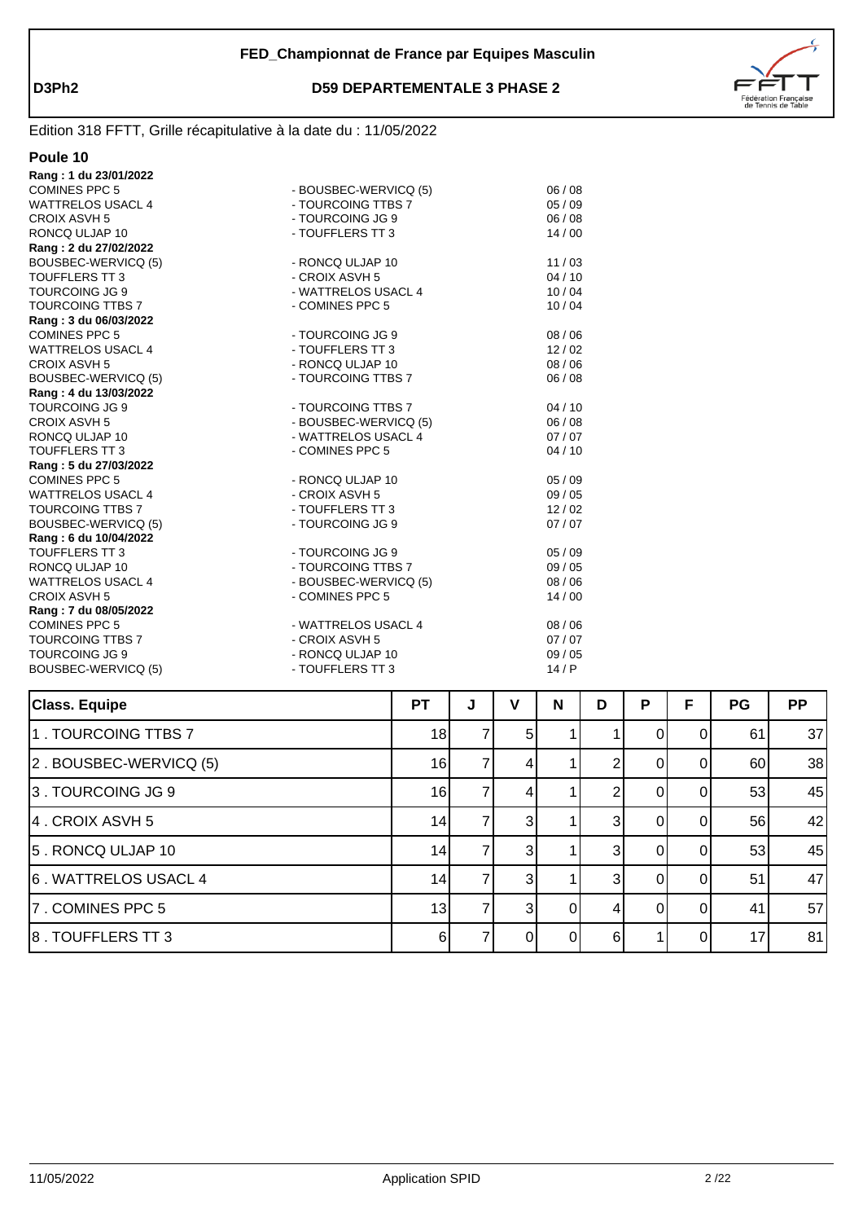



| Poule 10                 |                       |         |
|--------------------------|-----------------------|---------|
| Rang: 1 du 23/01/2022    |                       |         |
| <b>COMINES PPC 5</b>     | - BOUSBEC-WERVICQ (5) | 06/08   |
| <b>WATTRELOS USACL 4</b> | - TOURCOING TTBS 7    | 05/09   |
| CROIX ASVH 5             | - TOURCOING JG 9      | 06 / 08 |
| RONCQ ULJAP 10           | - TOUFFLERS TT 3      | 14/00   |
| Rang: 2 du 27/02/2022    |                       |         |
| BOUSBEC-WERVICQ (5)      | - RONCQ ULJAP 10      | 11/03   |
| <b>TOUFFLERS TT3</b>     | - CROIX ASVH 5        | 04/10   |
| TOURCOING JG 9           | - WATTRELOS USACL 4   | 10/04   |
| <b>TOURCOING TTBS 7</b>  | - COMINES PPC 5       | 10/04   |
| Rang: 3 du 06/03/2022    |                       |         |
| <b>COMINES PPC 5</b>     | - TOURCOING JG 9      | 08 / 06 |
| <b>WATTRELOS USACL 4</b> | - TOUFFLERS TT 3      | 12/02   |
| CROIX ASVH 5             | - RONCQ ULJAP 10      | 08 / 06 |
| BOUSBEC-WERVICQ (5)      | - TOURCOING TTBS 7    | 06/08   |
| Rang: 4 du 13/03/2022    |                       |         |
| TOURCOING JG 9           | - TOURCOING TTBS 7    | 04/10   |
| CROIX ASVH 5             | - BOUSBEC-WERVICQ (5) | 06/08   |
| RONCQ ULJAP 10           | - WATTRELOS USACL 4   | 07/07   |
| <b>TOUFFLERS TT3</b>     | - COMINES PPC 5       | 04/10   |
| Rang: 5 du 27/03/2022    |                       |         |
| <b>COMINES PPC 5</b>     | - RONCQ ULJAP 10      | 05/09   |
| <b>WATTRELOS USACL 4</b> | - CROIX ASVH 5        | 09/05   |
| TOURCOING TTBS 7         | - TOUFFLERS TT 3      | 12/02   |
| BOUSBEC-WERVICQ (5)      | - TOURCOING JG 9      | 07/07   |
| Rang: 6 du 10/04/2022    |                       |         |
| <b>TOUFFLERS TT3</b>     | - TOURCOING JG 9      | 05 / 09 |
| RONCQ ULJAP 10           | - TOURCOING TTBS 7    | 09 / 05 |
| <b>WATTRELOS USACL 4</b> | - BOUSBEC-WERVICQ (5) | 08 / 06 |
| CROIX ASVH 5             | - COMINES PPC 5       | 14/00   |
| Rang: 7 du 08/05/2022    |                       |         |
| <b>COMINES PPC 5</b>     | - WATTRELOS USACL 4   | 08 / 06 |
| <b>TOURCOING TTBS 7</b>  | - CROIX ASVH 5        | 07/07   |
| TOURCOING JG 9           | - RONCQ ULJAP 10      | 09 / 05 |
| BOUSBEC-WERVICQ (5)      | - TOUFFLERS TT 3      | 14/P    |
|                          |                       |         |

| <b>Class. Equipe</b>   | <b>PT</b> | J | v              | N        | D        | Р | F  | <b>PG</b> | <b>PP</b> |
|------------------------|-----------|---|----------------|----------|----------|---|----|-----------|-----------|
| 1. TOURCOING TTBS 7    | 18        |   | <sup>51</sup>  |          |          |   |    | 61        | 37        |
| 2. BOUSBEC-WERVICQ (5) | 16        |   | 41             |          |          | 0 | ΩI | 60        | 38        |
| 3. TOURCOING JG 9      | 16        |   | 4              |          |          | 0 | ΩI | 53        | 45        |
| 4. CROIX ASVH 5        | 14        |   | $\overline{3}$ |          | 3        | Ω |    | 56        | 42        |
| 5. RONCQ ULJAP 10      | 14        |   | 3              |          | 3        | 0 |    | 53        | 45        |
| 6. WATTRELOS USACL 4   | 14        |   | 3 <sup>l</sup> |          | 3        |   |    | 51        | 47        |
| 7. COMINES PPC 5       | 13        |   | 31             | $\Omega$ | 4        | 0 |    | 41        | 57        |
| 8. TOUFFLERS TT 3      | $6 \mid$  |   | 0I             | 0        | $6 \mid$ |   |    | 17        | 81        |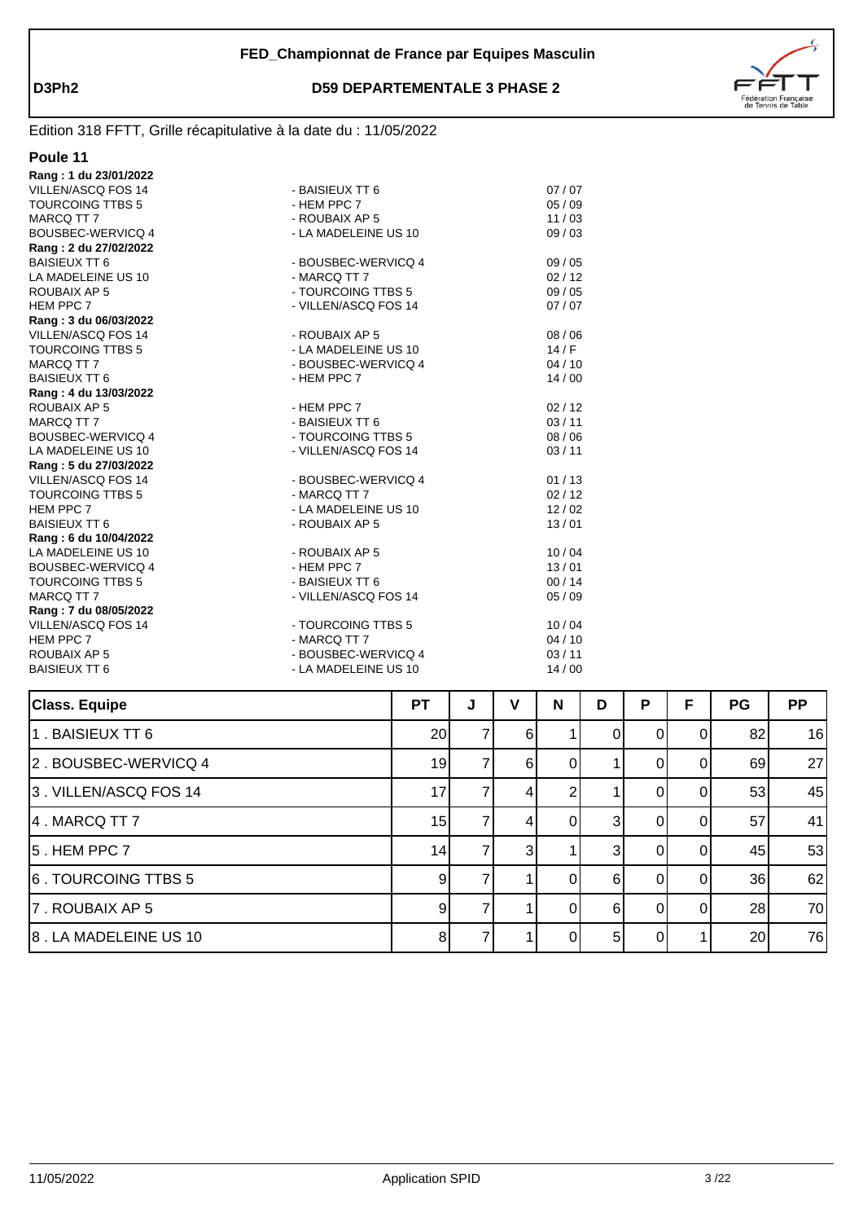

| Class Fauine                                                      |                                             | DТ | $\mathbf{I}$ | $\mathbf{v}$ | N                |
|-------------------------------------------------------------------|---------------------------------------------|----|--------------|--------------|------------------|
|                                                                   |                                             |    |              |              |                  |
| ROUBAIX AP 5<br><b>BAISIEUX TT 6</b>                              | - BOUSBEC-WERVICQ 4<br>- LA MADELEINE US 10 |    |              |              | 03/11<br>14/00   |
| HEM PPC 7                                                         | - MARCQ TT 7                                |    |              |              | 04/10            |
| <b>VILLEN/ASCQ FOS 14</b>                                         | - TOURCOING TTBS 5                          |    |              |              | 10/04            |
| Rang: 7 du 08/05/2022                                             |                                             |    |              |              |                  |
| MARCQ TT 7                                                        | - VILLEN/ASCQ FOS 14                        |    |              |              | 05/09            |
| <b>TOURCOING TTBS 5</b>                                           | - BAISIEUX TT 6                             |    |              |              | 00/14            |
| BOUSBEC-WERVICQ 4                                                 | - HEM PPC 7                                 |    |              |              | 13/01            |
| LA MADELEINE US 10                                                | - ROUBAIX AP 5                              |    |              |              | 10/04            |
| Rang: 6 du 10/04/2022                                             |                                             |    |              |              |                  |
| <b>BAISIEUX TT 6</b>                                              | - ROUBAIX AP 5                              |    |              |              | 13/01            |
| HEM PPC 7                                                         | - LA MADELEINE US 10                        |    |              |              | 12/02            |
| <b>TOURCOING TTBS 5</b>                                           | - MARCQ TT 7                                |    |              |              | 02/12            |
| Rang: 5 du 27/03/2022<br>VILLEN/ASCQ FOS 14                       | - BOUSBEC-WERVICQ 4                         |    |              |              | 01/13            |
|                                                                   |                                             |    |              |              |                  |
| BOUSBEC-WERVICQ 4<br>LA MADELEINE US 10                           | - TOURCOING TTBS 5<br>- VILLEN/ASCQ FOS 14  |    |              |              | 03/11            |
| MARCQ TT 7                                                        | - BAISIEUX TT 6                             |    |              |              | 03/11<br>08 / 06 |
| ROUBAIX AP 5                                                      | - HEM PPC 7                                 |    |              |              | 02/12            |
| Rang: 4 du 13/03/2022                                             |                                             |    |              |              |                  |
| <b>BAISIEUX TT 6</b>                                              | - HEM PPC 7                                 |    |              |              | 14/00            |
| MARCQ TT 7                                                        | - BOUSBEC-WERVICQ 4                         |    |              |              | 04/10            |
| <b>TOURCOING TTBS 5</b>                                           | - LA MADELEINE US 10                        |    |              |              | 14/F             |
| VILLEN/ASCQ FOS 14                                                | - ROUBAIX AP 5                              |    |              |              | 08 / 06          |
| Rang: 3 du 06/03/2022                                             |                                             |    |              |              |                  |
| HEM PPC 7                                                         | - VILLEN/ASCQ FOS 14                        |    |              |              | 07/07            |
| ROUBAIX AP 5                                                      | - TOURCOING TTBS 5                          |    |              |              | 09/05            |
| LA MADELEINE US 10                                                | - MARCQ TT 7                                |    |              |              | 02/12            |
| <b>BAISIEUX TT 6</b>                                              | - BOUSBEC-WERVICQ 4                         |    |              |              | 09/05            |
| Rang: 2 du 27/02/2022                                             |                                             |    |              |              |                  |
| <b>BOUSBEC-WERVICQ 4</b>                                          | - LA MADELEINE US 10                        |    |              |              | 09/03            |
| MARCQ TT 7                                                        | - ROUBAIX AP 5                              |    |              |              | 11/03            |
| <b>TOURCOING TTBS 5</b>                                           | - HEM PPC 7                                 |    |              |              | 05/09            |
| VILLEN/ASCQ FOS 14                                                | - BAISIEUX TT 6                             |    |              |              | 07/07            |
| Rang: 1 du 23/01/2022                                             |                                             |    |              |              |                  |
| Poule 11                                                          |                                             |    |              |              |                  |
|                                                                   |                                             |    |              |              |                  |
| Edition 318 FFTT, Grille récapitulative à la date du : 11/05/2022 |                                             |    |              |              |                  |

| <b>Class. Equipe</b>  | <b>PT</b>       | J | v  | N | D  | P        | F        | PG | <b>PP</b> |
|-----------------------|-----------------|---|----|---|----|----------|----------|----|-----------|
| 1. BAISIEUX TT 6      | 20              |   | 61 |   | ΟI | $\Omega$ | $\Omega$ | 82 | 16        |
| 2. BOUSBEC-WERVICQ 4  | 19              |   | 6  |   |    | $\Omega$ |          | 69 | 27        |
| 3. VILLEN/ASCQ FOS 14 | 17              |   |    |   |    | 0        |          | 53 | 45        |
| 4. MARCQ TT 7         | 15              |   |    |   | 31 | $\Omega$ | $\Omega$ | 57 | 41        |
| $ 5$ . HEM PPC $7$    | 14              |   | 3  |   | 31 | ΩI       | ΩI       | 45 | 53        |
| 6. TOURCOING TTBS 5   | $\vert 9 \vert$ |   |    |   | 6I | $\Omega$ | $\Omega$ | 36 | 62        |
| 7. ROUBAIX AP 5       | 9               |   |    |   | 61 | $\Omega$ | $\Omega$ | 28 | 70        |
| 8. LA MADELEINE US 10 | 8               |   |    |   | 5  | $\Omega$ |          | 20 | 76        |
|                       |                 |   |    |   |    |          |          |    |           |

┯

┲

т

┲

Т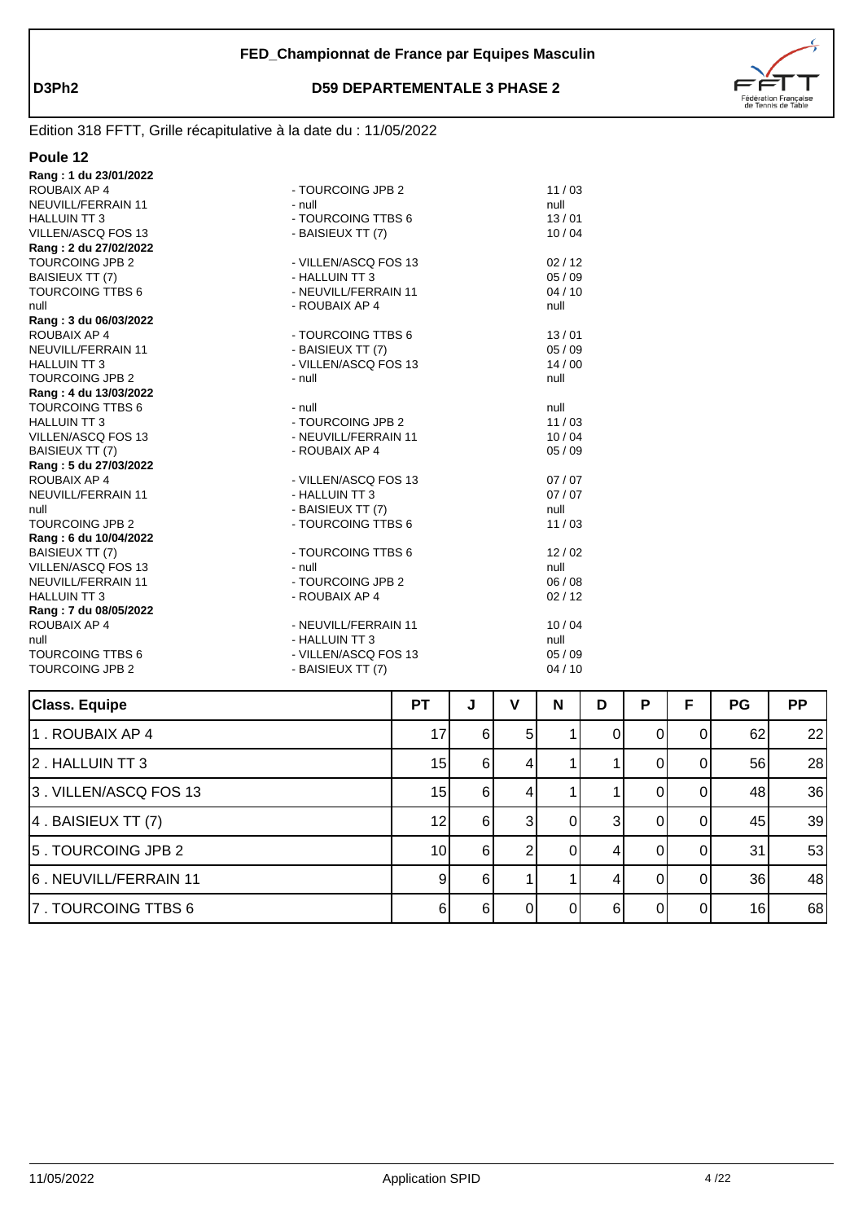

| Poule 12                |                      |         |
|-------------------------|----------------------|---------|
| Rang: 1 du 23/01/2022   |                      |         |
| ROUBAIX AP 4            | - TOURCOING JPB 2    | 11/03   |
| NEUVILL/FERRAIN 11      | - null               | null    |
| <b>HALLUIN TT 3</b>     | - TOURCOING TTBS 6   | 13/01   |
| VILLEN/ASCQ FOS 13      | - BAISIEUX TT (7)    | 10/04   |
| Rang: 2 du 27/02/2022   |                      |         |
| TOURCOING JPB 2         | - VILLEN/ASCQ FOS 13 | 02/12   |
| <b>BAISIEUX TT (7)</b>  | - HALLUIN TT 3       | 05 / 09 |
| <b>TOURCOING TTBS 6</b> | - NEUVILL/FERRAIN 11 | 04/10   |
| null                    | - ROUBAIX AP 4       | null    |
| Rang: 3 du 06/03/2022   |                      |         |
| ROUBAIX AP 4            | - TOURCOING TTBS 6   | 13/01   |
| NEUVILL/FERRAIN 11      | - BAISIEUX TT (7)    | 05/09   |
| <b>HALLUIN TT 3</b>     | - VILLEN/ASCQ FOS 13 | 14/00   |
| <b>TOURCOING JPB 2</b>  | - null               | null    |
| Rang: 4 du 13/03/2022   |                      |         |
| <b>TOURCOING TTBS 6</b> | - null               | null    |
| <b>HALLUIN TT 3</b>     | - TOURCOING JPB 2    | 11/03   |
| VILLEN/ASCQ FOS 13      | - NEUVILL/FERRAIN 11 | 10/04   |
| <b>BAISIEUX TT (7)</b>  | - ROUBAIX AP 4       | 05/09   |
| Rang: 5 du 27/03/2022   |                      |         |
| ROUBAIX AP 4            | - VILLEN/ASCQ FOS 13 | 07/07   |
| NEUVILL/FERRAIN 11      | - HALLUIN TT 3       | 07/07   |
| null                    | - BAISIEUX TT (7)    | null    |
| <b>TOURCOING JPB 2</b>  | - TOURCOING TTBS 6   | 11/03   |
| Rang: 6 du 10/04/2022   |                      |         |
| <b>BAISIEUX TT (7)</b>  | - TOURCOING TTBS 6   | 12/02   |
| VILLEN/ASCQ FOS 13      | - null               | null    |
| NEUVILL/FERRAIN 11      | - TOURCOING JPB 2    | 06/08   |
| <b>HALLUIN TT 3</b>     | - ROUBAIX AP 4       | 02/12   |
| Rang: 7 du 08/05/2022   |                      |         |
| ROUBAIX AP 4            | - NEUVILL/FERRAIN 11 | 10/04   |
| null                    | - HALLUIN TT 3       | null    |
| <b>TOURCOING TTBS 6</b> | - VILLEN/ASCQ FOS 13 | 05/09   |
| <b>TOURCOING JPB 2</b>  | - BAISIEUX TT (7)    | 04/10   |
|                         |                      |         |

| <b>Class. Equipe</b>     | PТ | J        | v              | N | D  | P        | F        | <b>PG</b>       | <b>PP</b> |
|--------------------------|----|----------|----------------|---|----|----------|----------|-----------------|-----------|
| 1. ROUBAIX AP 4          | 17 | 6I       | 5 <sub>l</sub> |   | O  | $\Omega$ | ΩI       | 62              | 22        |
| 2. HALLUIN TT 3          | 15 | 6I       |                |   |    |          | 0        | 56              | 28        |
| 3. VILLEN/ASCQ FOS 13    | 15 | $6 \mid$ |                |   |    |          | $\Omega$ | 48              | 36        |
| $ 4$ . BAISIEUX TT $(7)$ | 12 | 6I       | 31             |   | 31 | ΩI       | $\Omega$ | 45              | 39        |
| 5. TOURCOING JPB 2       | 10 | 6I       | ົ              |   |    |          |          | 31              | 53        |
| 6. NEUVILL/FERRAIN 11    | 9  | $6 \mid$ |                |   |    |          | $\Omega$ | 36              | 48        |
| 7. TOURCOING TTBS 6      | 6  | 61       | ΩI             |   | 61 |          | ΩI       | 16 <sub>l</sub> | 68        |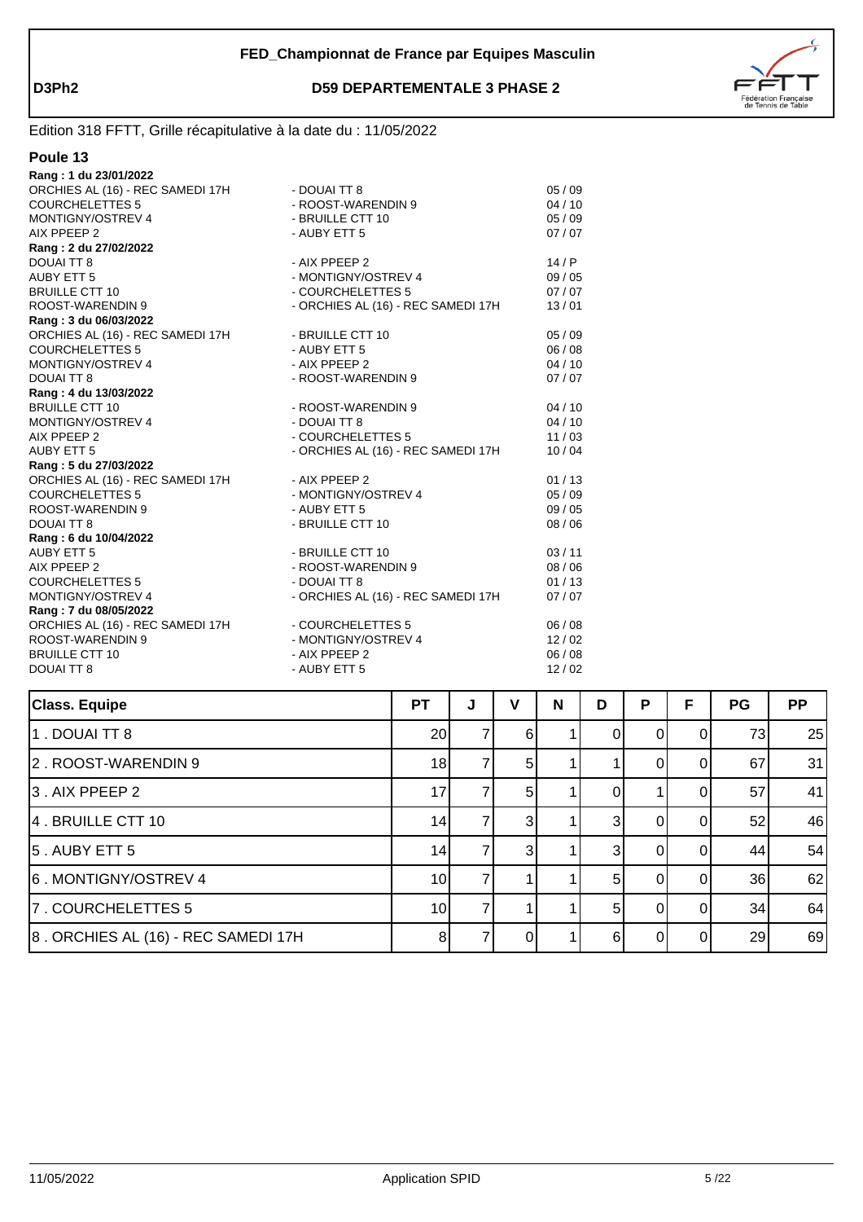

| Poule |  |
|-------|--|
|       |  |

| Rang: 1 du 23/01/2022                                |                                      |                |
|------------------------------------------------------|--------------------------------------|----------------|
| ORCHIES AL (16) - REC SAMEDI 17H                     | - DOUAI TT 8                         | 05/09          |
| <b>COURCHELETTES 5</b>                               | - ROOST-WARENDIN 9                   | 04/10          |
| <b>MONTIGNY/OSTREV 4</b>                             | - BRUILLE CTT 10                     | 05/09          |
| AIX PPEEP 2                                          | - AUBY ETT 5                         | 07/07          |
| Rang: 2 du 27/02/2022                                |                                      |                |
| <b>DOUAI TT 8</b>                                    | - AIX PPEEP 2                        | 14/P           |
| <b>AUBY ETT 5</b>                                    | - MONTIGNY/OSTREV 4                  | 09/05          |
| <b>BRUILLE CTT 10</b>                                | - COURCHELETTES 5                    | 07/07          |
| ROOST-WARENDIN 9                                     | - ORCHIES AL (16) - REC SAMEDI 17H   | 13/01          |
| Rang: 3 du 06/03/2022                                |                                      |                |
| ORCHIES AL (16) - REC SAMEDI 17H                     | - BRUILLE CTT 10                     | 05/09          |
| <b>COURCHELETTES 5</b>                               | - AUBY ETT 5                         | 06/08          |
| <b>MONTIGNY/OSTREV 4</b>                             | - AIX PPEEP 2                        | 04/10          |
| <b>DOUAI TT 8</b>                                    | - ROOST-WARENDIN 9                   | 07/07          |
|                                                      |                                      |                |
| Rang: 4 du 13/03/2022<br><b>BRUILLE CTT 10</b>       | - ROOST-WARENDIN 9                   | 04/10          |
| <b>MONTIGNY/OSTREV 4</b>                             | - DOUAI TT 8                         | 04/10          |
| AIX PPEEP 2                                          | - COURCHELETTES 5                    | 11/03          |
| <b>AUBY ETT 5</b>                                    | - ORCHIES AL (16) - REC SAMEDI 17H   | 10/04          |
| Rang: 5 du 27/03/2022                                |                                      |                |
| ORCHIES AL (16) - REC SAMEDI 17H                     | - AIX PPEEP 2                        | 01/13          |
| <b>COURCHELETTES 5</b>                               | - MONTIGNY/OSTREV 4                  | 05/09          |
| ROOST-WARENDIN 9                                     | - AUBY ETT 5                         | 09/05          |
| <b>DOUAI TT 8</b>                                    | - BRUILLE CTT 10                     | 08/06          |
|                                                      |                                      |                |
| Rang: 6 du 10/04/2022<br><b>AUBY ETT 5</b>           | - BRUILLE CTT 10                     | 03/11          |
| AIX PPEEP 2                                          | - ROOST-WARENDIN 9                   | 08/06          |
| <b>COURCHELETTES 5</b>                               | - DOUAI TT 8                         |                |
| MONTIGNY/OSTREV 4                                    |                                      | 01/13          |
|                                                      | - ORCHIES AL (16) - REC SAMEDI 17H   | 07/07          |
| Rang: 7 du 08/05/2022                                |                                      |                |
| ORCHIES AL (16) - REC SAMEDI 17H<br>ROOST-WARENDIN 9 | - COURCHELETTES 5                    | 06/08<br>12/02 |
| <b>BRUILLE CTT 10</b>                                | - MONTIGNY/OSTREV 4<br>- AIX PPEEP 2 | 06/08          |
|                                                      | - AUBY ETT 5                         |                |
| <b>DOUAI TT 8</b>                                    |                                      | 12/02          |

| <b>Class. Equipe</b>                | <b>PT</b>       | J | v              | N | D | P | F  | <b>PG</b> | <b>PP</b> |
|-------------------------------------|-----------------|---|----------------|---|---|---|----|-----------|-----------|
| 1. DOUAI TT 8                       | 20              |   | -61            |   |   |   |    | 73        | 25        |
| 2. ROOST-WARENDIN 9                 | 18              |   | 5 <sup>1</sup> |   |   |   |    | 67        | 31        |
| 3. AIX PPEEP 2                      | 17              |   | 5 <sup>1</sup> |   | 0 |   |    | 57        | 41        |
| 4. BRUILLE CTT 10                   | 14              |   | 3I             |   | 3 |   |    | 52        | 46        |
| $ 5$ . AUBY ETT $5$                 | 14              |   | 3I             |   | 3 |   |    | 44        | 54        |
| 6. MONTIGNY/OSTREV 4                | 10 <sup>1</sup> |   |                |   | 5 |   | ΩI | 36        | 62        |
| 7. COURCHELETTES 5                  | 10I             |   |                |   | 5 |   | ΩI | 34        | 64        |
| 8. ORCHIES AL (16) - REC SAMEDI 17H | 8 <sup>1</sup>  |   |                |   | 6 |   | ΩI | 29        | 69        |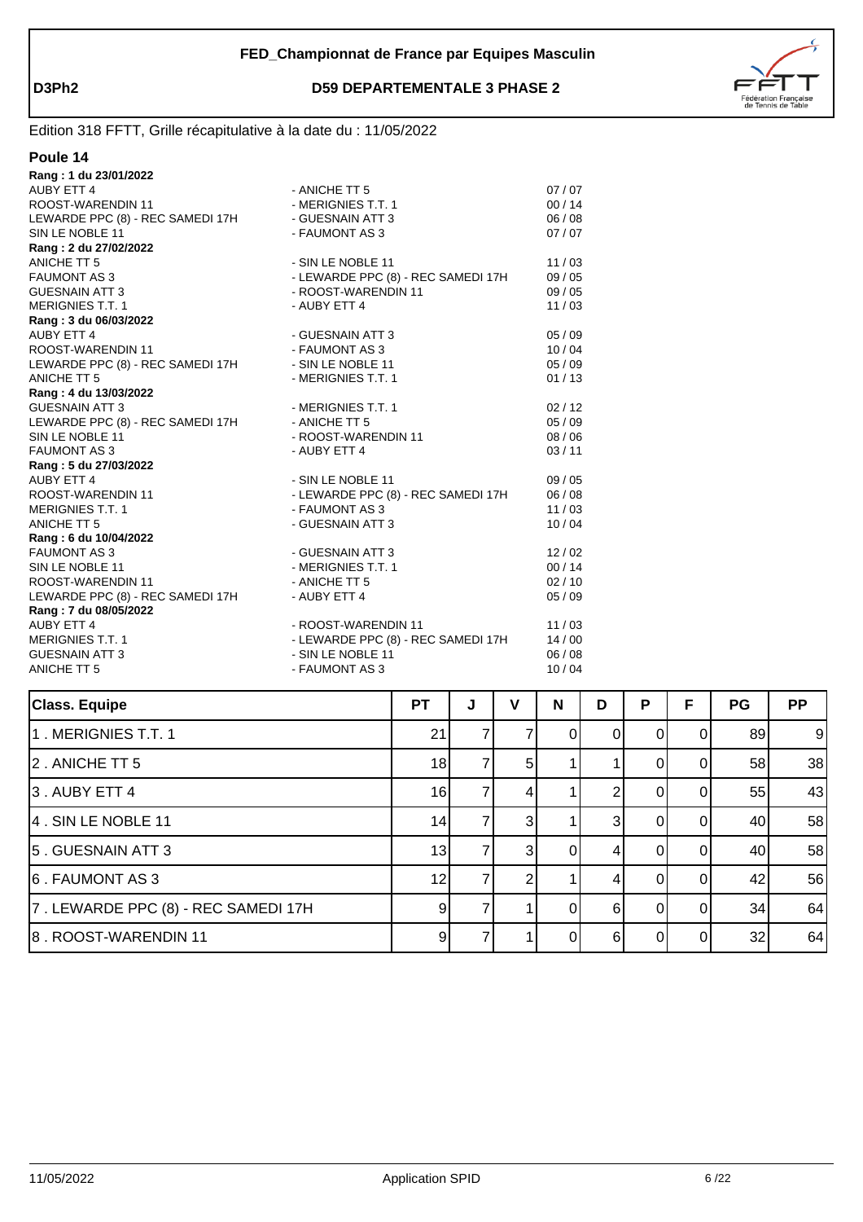

#### **Poule 14**

| - ANICHE TT 5                                         | 07/07 |
|-------------------------------------------------------|-------|
| - MERIGNIES T.T. 1                                    | 00/14 |
| LEWARDE PPC (8) - REC SAMEDI 17H<br>- GUESNAIN ATT 3  | 06/08 |
| - FAUMONT AS 3                                        | 07/07 |
|                                                       |       |
| - SIN LE NOBLE 11                                     | 11/03 |
| - LEWARDE PPC (8) - REC SAMEDI 17H                    | 09/05 |
| - ROOST-WARENDIN 11                                   | 09/05 |
| - AUBY ETT 4                                          | 11/03 |
|                                                       |       |
| - GUESNAIN ATT 3                                      | 05/09 |
| - FAUMONT AS 3                                        | 10/04 |
| LEWARDE PPC (8) - REC SAMEDI 17H<br>- SIN LE NOBLE 11 | 05/09 |
| - MERIGNIES T.T. 1                                    | 01/13 |
|                                                       |       |
| - MERIGNIES T.T. 1                                    | 02/12 |
| LEWARDE PPC (8) - REC SAMEDI 17H<br>- ANICHE TT 5     | 05/09 |
| - ROOST-WARENDIN 11                                   | 08/06 |
| - AUBY ETT 4                                          | 03/11 |
|                                                       |       |
| - SIN LE NOBLE 11                                     | 09/05 |
| - LEWARDE PPC (8) - REC SAMEDI 17H                    | 06/08 |
| - FAUMONT AS 3                                        | 11/03 |
| - GUESNAIN ATT 3                                      | 10/04 |
|                                                       |       |
| - GUESNAIN ATT 3                                      | 12/02 |
| - MERIGNIES T.T. 1                                    | 00/14 |
| - ANICHE TT 5                                         | 02/10 |
| - AUBY ETT 4                                          | 05/09 |
|                                                       |       |
| - ROOST-WARENDIN 11                                   | 11/03 |
| - LEWARDE PPC (8) - REC SAMEDI 17H                    | 14/00 |
| - SIN LE NOBLE 11                                     | 06/08 |
| - FAUMONT AS 3                                        | 10/04 |
|                                                       |       |

| <b>Class. Equipe</b>                | <b>PT</b> | J | v              | N | D | P | F  | PG | <b>PP</b> |
|-------------------------------------|-----------|---|----------------|---|---|---|----|----|-----------|
| 1. MERIGNIES T.T. 1                 | 21        |   |                | 0 | O |   |    | 89 | 9         |
| 2. ANICHE TT 5                      | 18        |   | 5 <sup>1</sup> |   |   |   |    | 58 | 38        |
| 3. AUBY ETT 4                       | 16        |   |                |   |   |   |    | 55 | 43        |
| 4. SIN LE NOBLE 11                  | 14        |   | 31             |   | 3 |   |    | 40 | 58        |
| 5. GUESNAIN ATT 3                   | 13        |   | 31             |   |   |   |    | 40 | 58        |
| 6. FAUMONT AS 3                     | 12        |   |                |   | 4 |   | ΩI | 42 | 56        |
| 7. LEWARDE PPC (8) - REC SAMEDI 17H | 9         |   |                | 0 | 6 | O | ΩI | 34 | 64        |
| 8. ROOST-WARENDIN 11                | 9         |   |                | 0 | 6 |   | ΩI | 32 | 64        |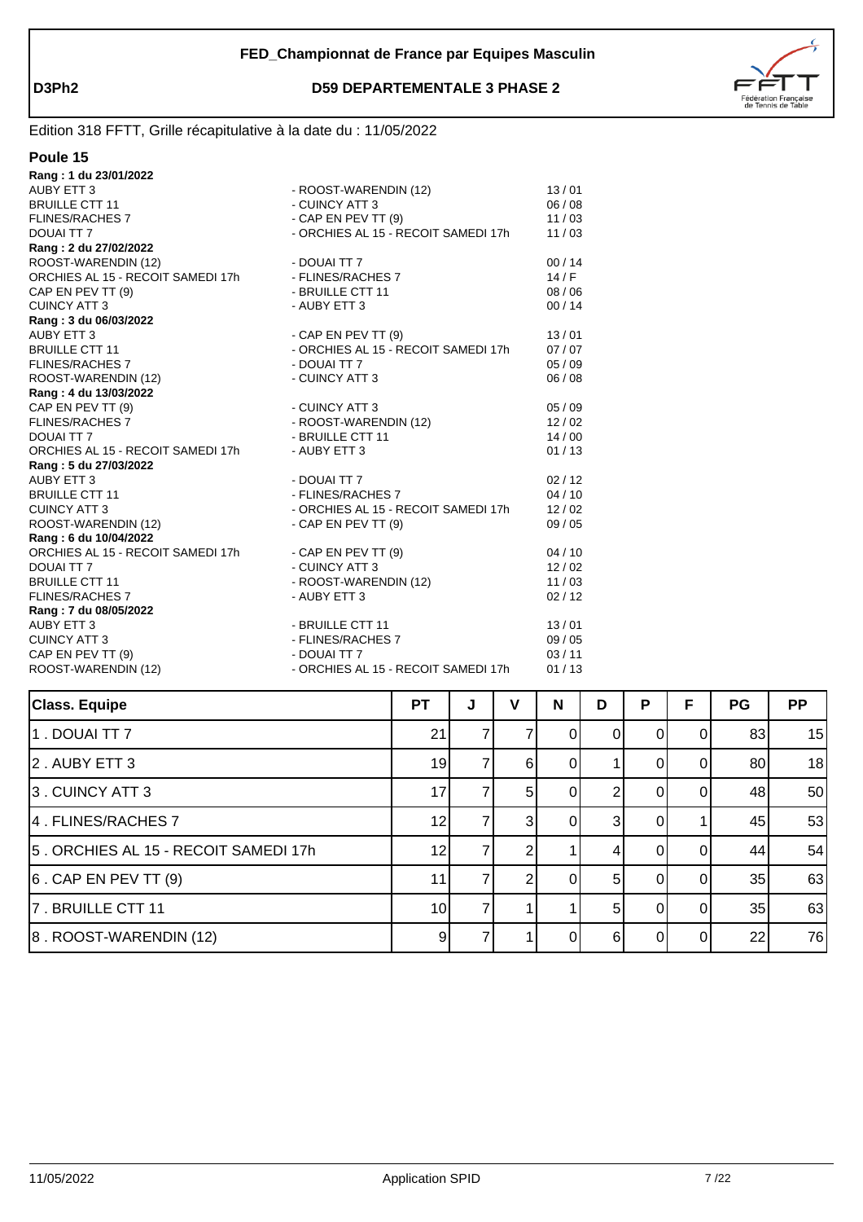

| Poule |  |  |
|-------|--|--|
|       |  |  |

| Rang: 1 du 23/01/2022             |                                     |       |
|-----------------------------------|-------------------------------------|-------|
| AUBY ETT 3                        | - ROOST-WARENDIN (12)               | 13/01 |
| <b>BRUILLE CTT 11</b>             | - CUINCY ATT 3                      | 06/08 |
| <b>FLINES/RACHES 7</b>            | - CAP EN PEV TT $(9)$               | 11/03 |
| DOUAI TT 7                        | - ORCHIES AL 15 - RECOIT SAMEDI 17h | 11/03 |
| Rang: 2 du 27/02/2022             |                                     |       |
| ROOST-WARENDIN (12)               | - DOUAI TT 7                        | 00/14 |
| ORCHIES AL 15 - RECOIT SAMEDI 17h | - FLINES/RACHES 7                   | 14/F  |
| CAP EN PEV TT (9)                 | - BRUILLE CTT 11                    | 08/06 |
| <b>CUINCY ATT 3</b>               | - AUBY ETT 3                        | 00/14 |
| Rang: 3 du 06/03/2022             |                                     |       |
| AUBY ETT 3                        | - CAP EN PEV TT $(9)$               | 13/01 |
| <b>BRUILLE CTT 11</b>             | - ORCHIES AL 15 - RECOIT SAMEDI 17h | 07/07 |
| <b>FLINES/RACHES 7</b>            | - DOUAI TT 7                        | 05/09 |
| ROOST-WARENDIN (12)               | - CUINCY ATT 3                      | 06/08 |
| Rang: 4 du 13/03/2022             |                                     |       |
| CAP EN PEV TT (9)                 | - CUINCY ATT 3                      | 05/09 |
| <b>FLINES/RACHES 7</b>            | - ROOST-WARENDIN (12)               | 12/02 |
| DOUAI TT 7                        | - BRUILLE CTT 11                    | 14/00 |
| ORCHIES AL 15 - RECOIT SAMEDI 17h | - AUBY ETT 3                        | 01/13 |
| Rang: 5 du 27/03/2022             |                                     |       |
| AUBY ETT 3                        | - DOUAI TT 7                        | 02/12 |
| <b>BRUILLE CTT 11</b>             | - FLINES/RACHES 7                   | 04/10 |
| <b>CUINCY ATT 3</b>               | - ORCHIES AL 15 - RECOIT SAMEDI 17h | 12/02 |
| ROOST-WARENDIN (12)               | - CAP EN PEV TT $(9)$               | 09/05 |
| Rang: 6 du 10/04/2022             |                                     |       |
| ORCHIES AL 15 - RECOIT SAMEDI 17h | - CAP EN PEV TT (9)                 | 04/10 |
| DOUAI TT 7                        | - CUINCY ATT 3                      | 12/02 |
| <b>BRUILLE CTT 11</b>             | - ROOST-WARENDIN (12)               | 11/03 |
| <b>FLINES/RACHES 7</b>            | - AUBY ETT 3                        | 02/12 |
| Rang: 7 du 08/05/2022             |                                     |       |
| <b>AUBY ETT 3</b>                 | - BRUILLE CTT 11                    | 13/01 |
| <b>CUINCY ATT 3</b>               | - FLINES/RACHES 7                   | 09/05 |
| CAP EN PEV TT (9)                 | - DOUAI TT 7                        | 03/11 |
| ROOST-WARENDIN (12)               | - ORCHIES AL 15 - RECOIT SAMEDI 17h | 01/13 |
|                                   |                                     |       |

| <b>Class. Equipe</b>                 | <b>PT</b>       | J | v              | N | D | P | F        | <b>PG</b> | <b>PP</b> |
|--------------------------------------|-----------------|---|----------------|---|---|---|----------|-----------|-----------|
| 1. DOUAI TT 7                        | 21              |   |                |   |   |   |          | 83        | 15        |
| 2. AUBY ETT 3                        | 19              |   | 6              | O |   |   |          | 80        | 18        |
| 3. CUINCY ATT 3                      | 17              |   | 5 <sup>1</sup> |   |   |   |          | 48        | 50        |
| 4. FLINES/RACHES 7                   | 12 <sub>1</sub> |   | $\mathbf{3}$   |   | 3 |   |          | 45        | 53        |
| 5. ORCHIES AL 15 - RECOIT SAMEDI 17h | 12              |   |                |   |   |   | 0        | 44        | 54        |
| $ 6$ . CAP EN PEV TT $(9)$           | 11              |   |                | 0 | 5 | 0 | $\Omega$ | 35        | 63        |
| 7. BRUILLE CTT 11                    | 10 <sup>1</sup> |   |                |   | 5 |   |          | 35        | 63        |
| 8. ROOST-WARENDIN (12)               | 9               |   |                |   | 6 |   | $\Omega$ | 22        | 76        |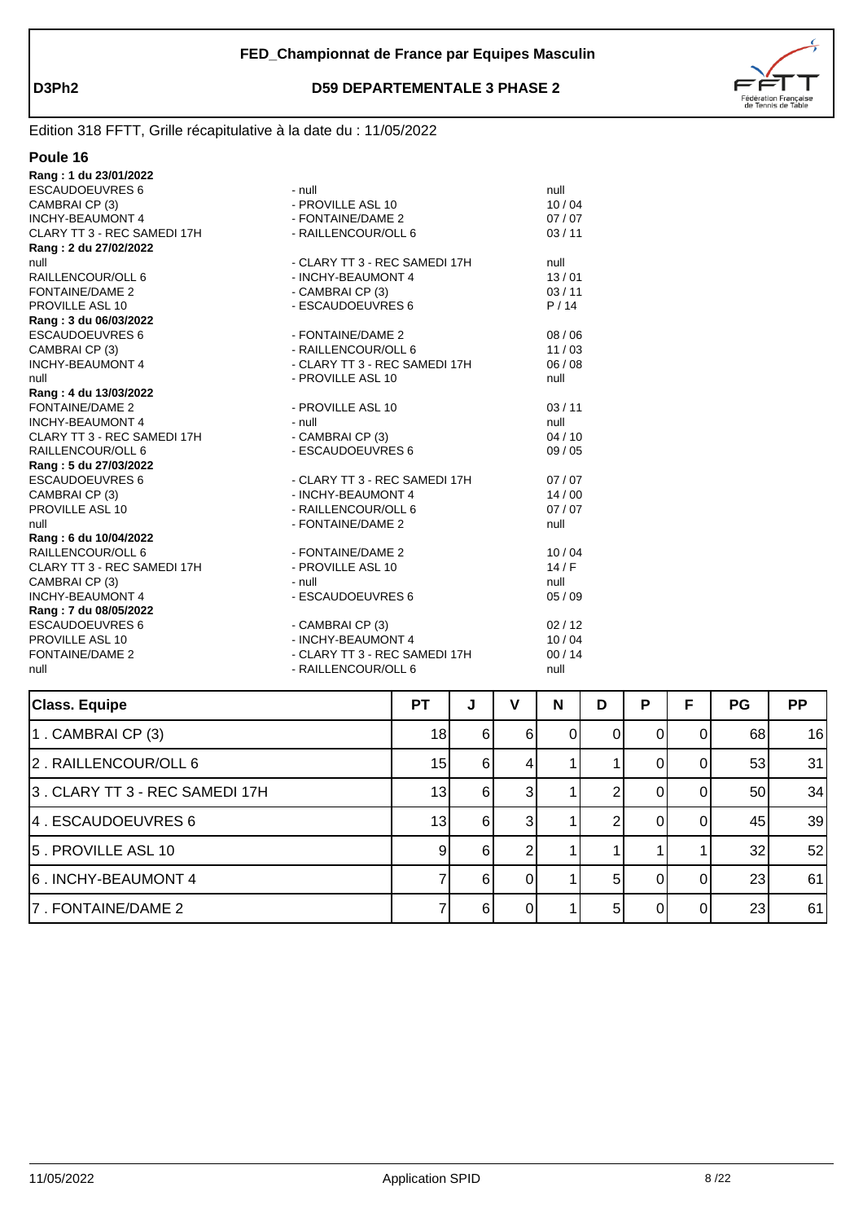



| Rang: 1 du 23/01/2022       |                               |       |
|-----------------------------|-------------------------------|-------|
| <b>ESCAUDOEUVRES 6</b>      | - null                        | null  |
| CAMBRAI CP (3)              | - PROVILLE ASL 10             | 10/04 |
| <b>INCHY-BEAUMONT 4</b>     | - FONTAINE/DAME 2             | 07/07 |
| CLARY TT 3 - REC SAMEDI 17H | - RAILLENCOUR/OLL 6           | 03/11 |
| Rang: 2 du 27/02/2022       |                               |       |
| null                        | - CLARY TT 3 - REC SAMEDI 17H | null  |
| RAILLENCOUR/OLL 6           | - INCHY-BEAUMONT 4            | 13/01 |
| FONTAINE/DAME 2             | - CAMBRAI CP (3)              | 03/11 |
| PROVILLE ASL 10             | - ESCAUDOEUVRES 6             | P/14  |
| Rang: 3 du 06/03/2022       |                               |       |
| <b>ESCAUDOEUVRES 6</b>      | - FONTAINE/DAME 2             | 08/06 |
| CAMBRAI CP (3)              | - RAILLENCOUR/OLL 6           | 11/03 |
| <b>INCHY-BEAUMONT 4</b>     | - CLARY TT 3 - REC SAMEDI 17H | 06/08 |
| null                        | - PROVILLE ASL 10             | null  |
| Rang: 4 du 13/03/2022       |                               |       |
| FONTAINE/DAME 2             | - PROVILLE ASL 10             | 03/11 |
| <b>INCHY-BEAUMONT 4</b>     | - null                        | null  |
| CLARY TT 3 - REC SAMEDI 17H | - CAMBRAI CP (3)              | 04/10 |
| RAILLENCOUR/OLL 6           | - ESCAUDOEUVRES 6             | 09/05 |
| Rang: 5 du 27/03/2022       |                               |       |
| <b>ESCAUDOEUVRES 6</b>      | - CLARY TT 3 - REC SAMEDI 17H | 07/07 |
| CAMBRAI CP (3)              | - INCHY-BEAUMONT 4            | 14/00 |
| PROVILLE ASL 10             | - RAILLENCOUR/OLL 6           | 07/07 |
| null                        | - FONTAINE/DAME 2             | null  |
| Rang: 6 du 10/04/2022       |                               |       |
| RAILLENCOUR/OLL 6           | - FONTAINE/DAME 2             | 10/04 |
| CLARY TT 3 - REC SAMEDI 17H | - PROVILLE ASL 10             | 14/F  |
| CAMBRAI CP (3)              | - null                        | null  |
| <b>INCHY-BEAUMONT 4</b>     | - ESCAUDOEUVRES 6             | 05/09 |
| Rang: 7 du 08/05/2022       |                               |       |
| <b>ESCAUDOEUVRES 6</b>      | - CAMBRAI CP (3)              | 02/12 |
| PROVILLE ASL 10             | - INCHY-BEAUMONT 4            | 10/04 |
| FONTAINE/DAME 2             | - CLARY TT 3 - REC SAMEDI 17H | 00/14 |
| null                        | - RAILLENCOUR/OLL 6           | null  |
|                             |                               |       |

| <b>Class. Equipe</b>            | <b>PT</b>       | J              | v              | N | D  | Ρ | F  | <b>PG</b> | <b>PP</b> |
|---------------------------------|-----------------|----------------|----------------|---|----|---|----|-----------|-----------|
| $1$ . CAMBRAI CP $(3)$          | 18              | 6              | 6              |   |    |   |    | 68        | 16        |
| 2. RAILLENCOUR/OLL 6            | 15              | 61             | 4              |   |    | 0 | U  | 53        | 31        |
| 3 . CLARY TT 3 - REC SAMEDI 17H | 13              | 6 <sup>1</sup> | 3 <sup>l</sup> |   |    |   |    | 50        | 34        |
| 4 . ESCAUDOEUVRES 6             | 13 <sup>1</sup> | 6              |                |   |    |   |    | 45        | 39        |
| 5 . PROVILLE ASL 10             | 9               | 6              |                |   |    |   |    | 32        | 52        |
| 6. INCHY-BEAUMONT 4             |                 | 6              |                |   | 5  |   |    | 23        | 61        |
| 7. FONTAINE/DAME 2              |                 | 6              | 0              |   | 51 | 0 | ΩI | 23        | 61        |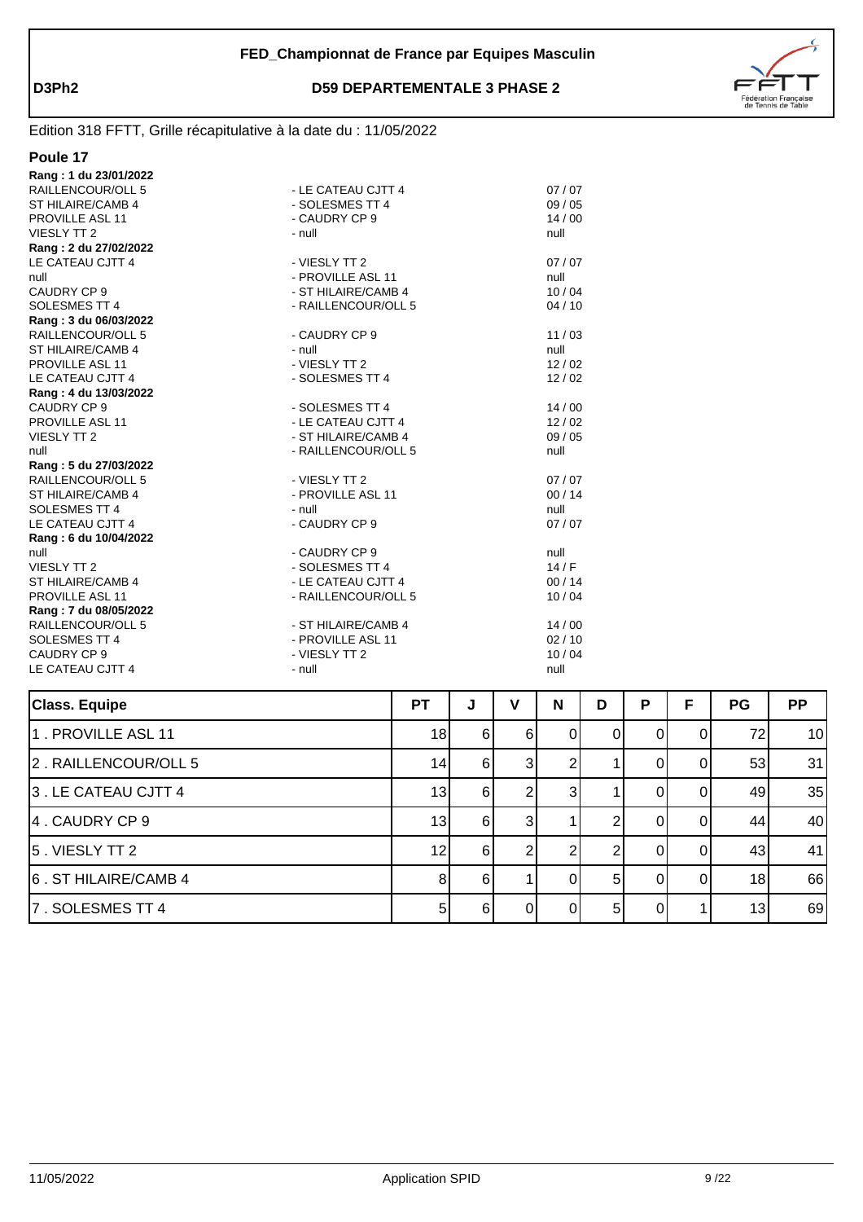

| Rang: 1 du 23/01/2022 |                     |       |
|-----------------------|---------------------|-------|
| RAILLENCOUR/OLL 5     | - LE CATEAU CJTT 4  | 07/07 |
| ST HILAIRE/CAMB 4     | - SOLESMES TT 4     | 09/05 |
| PROVILLE ASL 11       | - CAUDRY CP 9       | 14/00 |
| <b>VIESLY TT 2</b>    | $-$ null            | null  |
| Rang: 2 du 27/02/2022 |                     |       |
| LE CATEAU CJTT 4      | - VIESLY TT 2       | 07/07 |
| null                  | - PROVILLE ASL 11   | null  |
| CAUDRY CP 9           | - ST HILAIRE/CAMB 4 | 10/04 |
| SOLESMES TT 4         | - RAILLENCOUR/OLL 5 | 04/10 |
| Rang: 3 du 06/03/2022 |                     |       |
| RAILLENCOUR/OLL 5     | - CAUDRY CP 9       | 11/03 |
| ST HILAIRE/CAMB 4     | - null              | null  |
| PROVILLE ASL 11       | - VIESLY TT 2       | 12/02 |
| LE CATEAU CJTT 4      | - SOLESMES TT 4     | 12/02 |
| Rang: 4 du 13/03/2022 |                     |       |
| CAUDRY CP 9           | - SOLESMES TT 4     | 14/00 |
| PROVILLE ASL 11       | - LE CATEAU CJTT 4  | 12/02 |
| <b>VIESLY TT 2</b>    | - ST HILAIRE/CAMB 4 | 09/05 |
| null                  | - RAILLENCOUR/OLL 5 | null  |
| Rang: 5 du 27/03/2022 |                     |       |
| RAILLENCOUR/OLL 5     | - VIESLY TT 2       | 07/07 |
| ST HILAIRE/CAMB 4     | - PROVILLE ASL 11   | 00/14 |
| SOLESMES TT 4         | - null              | null  |
| LE CATEAU CJTT 4      | - CAUDRY CP 9       | 07/07 |
| Rang: 6 du 10/04/2022 |                     |       |
| null                  | - CAUDRY CP 9       | null  |
| <b>VIESLY TT 2</b>    | - SOLESMES TT 4     | 14/F  |
| ST HILAIRE/CAMB 4     | - LE CATEAU CJTT 4  | 00/14 |
| PROVILLE ASL 11       | - RAILLENCOUR/OLL 5 | 10/04 |
| Rang: 7 du 08/05/2022 |                     |       |
| RAILLENCOUR/OLL 5     | - ST HILAIRE/CAMB 4 | 14/00 |
| SOLESMES TT 4         | - PROVILLE ASL 11   | 02/10 |
| CAUDRY CP 9           | - VIESLY TT 2       | 10/04 |
| LE CATEAU CJTT 4      | - null              | null  |
|                       |                     |       |

| <b>Class. Equipe</b> | <b>PT</b> | J        | v  | N | D  | P  | F        | <b>PG</b> | <b>PP</b> |
|----------------------|-----------|----------|----|---|----|----|----------|-----------|-----------|
| 1. PROVILLE ASL 11   | 18        | 6        | 61 | 0 | 0  | 01 | 0        | 72        | 10        |
| 2. RAILLENCOUR/OLL 5 | 14        | 6        |    |   |    |    | 0        | 53        | 31        |
| 3. LE CATEAU CJTT 4  | 13        | $6 \mid$ |    | 3 |    |    | ΩI       | 49        | 35        |
| 4. CAUDRY CP 9       | 13        | 6        | 31 |   |    |    | ΩI       | 44        | 40        |
| 5. VIESLY TT 2       | 12        | 6        |    |   |    |    | $\Omega$ | 43        | 41        |
| 6. ST HILAIRE/CAMB 4 | 8         | $6 \mid$ |    |   | 51 |    | $\Omega$ | 18        | 66        |
| 7. SOLESMES TT 4     | 5         | $6 \mid$ | ΩI |   | 51 |    |          | 13        | 69        |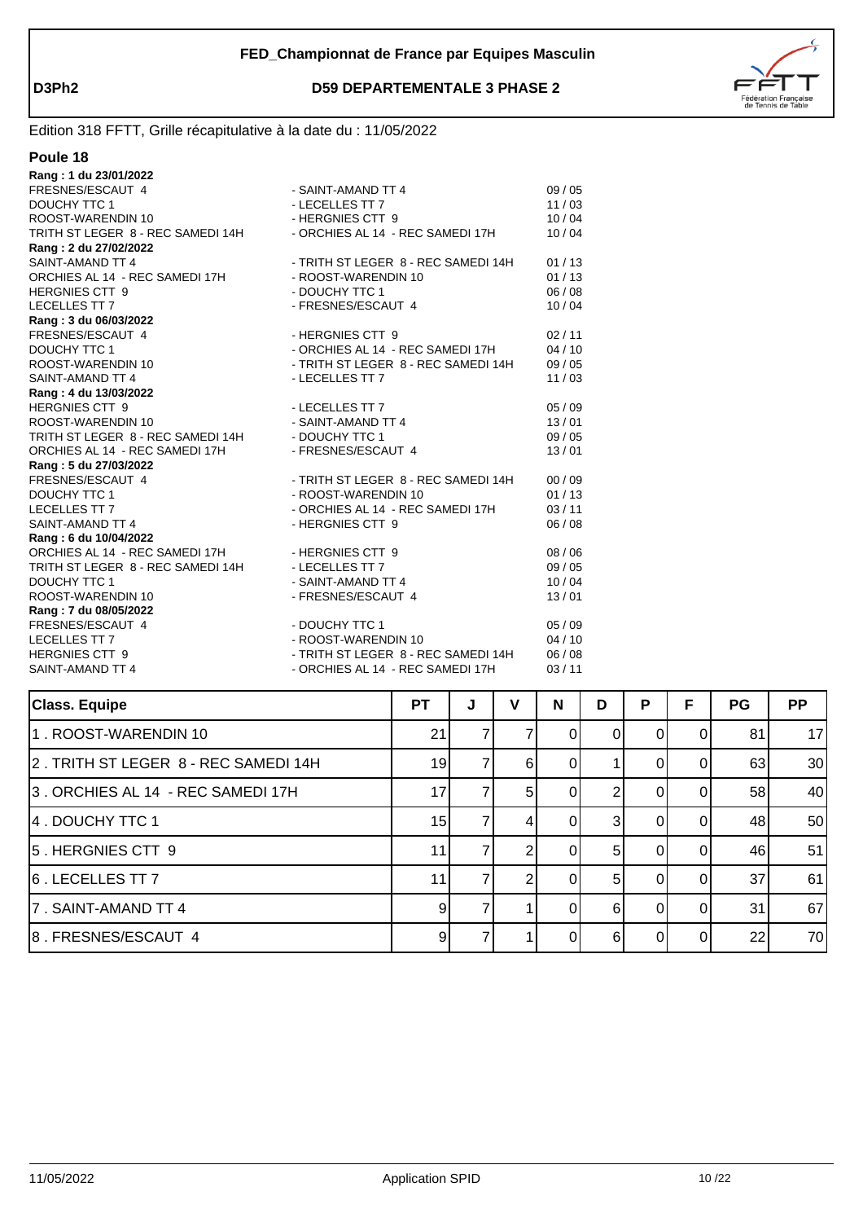

| Poule 18 |  |
|----------|--|
|          |  |

| Rang: 1 du 23/01/2022             |                                     |       |
|-----------------------------------|-------------------------------------|-------|
| FRESNES/ESCAUT 4                  | - SAINT-AMAND TT 4                  | 09/05 |
| DOUCHY TTC 1                      | - LECELLES TT 7                     | 11/03 |
| ROOST-WARENDIN 10                 | - HERGNIES CTT 9                    | 10/04 |
| TRITH ST LEGER 8 - REC SAMEDI 14H | - ORCHIES AL 14 - REC SAMEDI 17H    | 10/04 |
| Rang: 2 du 27/02/2022             |                                     |       |
| SAINT-AMAND TT 4                  | - TRITH ST LEGER 8 - REC SAMEDI 14H | 01/13 |
| ORCHIES AL 14 - REC SAMEDI 17H    | - ROOST-WARENDIN 10                 | 01/13 |
| <b>HERGNIES CTT 9</b>             | - DOUCHY TTC 1                      | 06/08 |
| <b>LECELLES TT 7</b>              | - FRESNES/ESCAUT 4                  | 10/04 |
| Rang: 3 du 06/03/2022             |                                     |       |
| FRESNES/ESCAUT 4                  | - HERGNIES CTT 9                    | 02/11 |
| <b>DOUCHY TTC 1</b>               | - ORCHIES AL 14 - REC SAMEDI 17H    | 04/10 |
| ROOST-WARENDIN 10                 | - TRITH ST LEGER 8 - REC SAMEDI 14H | 09/05 |
| SAINT-AMAND TT 4                  | - LECELLES TT 7                     | 11/03 |
| Rang: 4 du 13/03/2022             |                                     |       |
| <b>HERGNIES CTT 9</b>             | - LECELLES TT 7                     | 05/09 |
| ROOST-WARENDIN 10                 | - SAINT-AMAND TT 4                  | 13/01 |
| TRITH ST LEGER 8 - REC SAMEDI 14H | - DOUCHY TTC 1                      | 09/05 |
| ORCHIES AL 14 - REC SAMEDI 17H    | - FRESNES/ESCAUT 4                  | 13/01 |
| Rang: 5 du 27/03/2022             |                                     |       |
| FRESNES/ESCAUT 4                  | - TRITH ST LEGER 8 - REC SAMEDI 14H | 00/09 |
| DOUCHY TTC 1                      | - ROOST-WARENDIN 10                 | 01/13 |
| LECELLES TT 7                     | - ORCHIES AL 14 - REC SAMEDI 17H    | 03/11 |
| SAINT-AMAND TT 4                  | - HERGNIES CTT 9                    | 06/08 |
| Rang: 6 du 10/04/2022             |                                     |       |
| ORCHIES AL 14 - REC SAMEDI 17H    | - HERGNIES CTT 9                    | 08/06 |
| TRITH ST LEGER 8 - REC SAMEDI 14H | - LECELLES TT 7                     | 09/05 |
| <b>DOUCHY TTC 1</b>               | - SAINT-AMAND TT 4                  | 10/04 |
| ROOST-WARENDIN 10                 | - FRESNES/ESCAUT 4                  | 13/01 |
| Rang: 7 du 08/05/2022             |                                     |       |
| FRESNES/ESCAUT 4                  | - DOUCHY TTC 1                      | 05/09 |
| <b>LECELLES TT 7</b>              | - ROOST-WARENDIN 10                 | 04/10 |
| <b>HERGNIES CTT 9</b>             | - TRITH ST LEGER 8 - REC SAMEDI 14H | 06/08 |
| SAINT-AMAND TT 4                  | - ORCHIES AL 14 - REC SAMEDI 17H    | 03/11 |
|                                   |                                     |       |

| <b>Class. Equipe</b>                 | <b>PT</b> | J | v  | N        | D  | Р | F  | <b>PG</b> | <b>PP</b> |
|--------------------------------------|-----------|---|----|----------|----|---|----|-----------|-----------|
| 1. ROOST-WARENDIN 10                 | 21        |   |    |          |    |   |    | 81        | 17        |
| 2. TRITH ST LEGER 8 - REC SAMEDI 14H | 19        |   | 61 |          |    |   |    | 63        | 30        |
| 3. ORCHIES AL 14 - REC SAMEDI 17H    | 17        |   | 51 | 01       |    | 0 | 01 | 58        | 40        |
| 14 . DOUCHY TTC 1                    | 15        |   | 4  | $\Omega$ | 31 | 0 | ΩI | 48        | 50        |
| 5. HERGNIES CTT 9                    | 11        |   |    | $\Omega$ | 51 | 0 | ΩI | 46        | 51        |
| 6. LECELLES TT 7                     | 11        |   |    | U        | 51 | O | ΩI | 37        | 61        |
| 7. SAINT-AMAND TT 4                  | 9         |   |    |          | 6  | ∩ |    | 31        | 67        |
| 8. FRESNES/ESCAUT 4                  | 9         |   |    |          | ี  |   |    | 22        | 70        |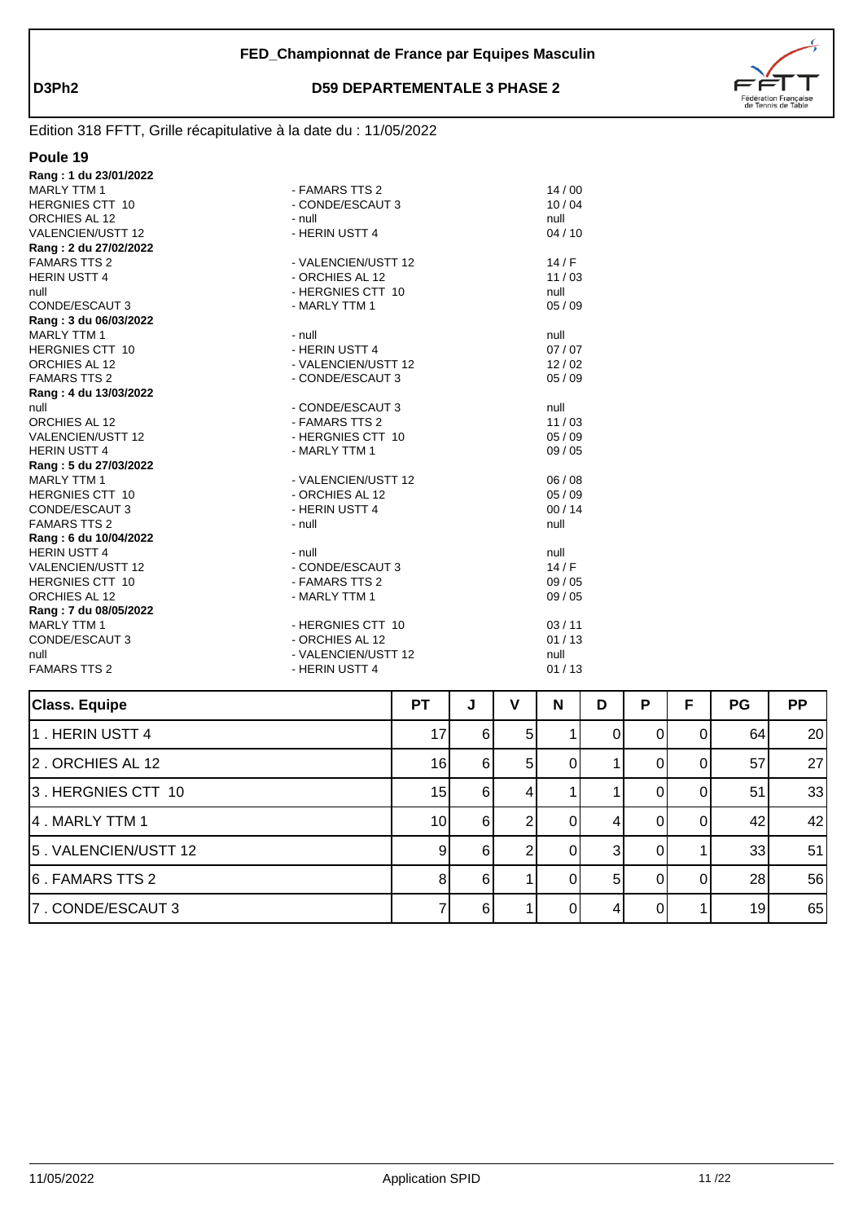

| Poule 19                 |                     |       |
|--------------------------|---------------------|-------|
| Rang: 1 du 23/01/2022    |                     |       |
| <b>MARLY TTM 1</b>       | - FAMARS TTS 2      | 14/00 |
| <b>HERGNIES CTT 10</b>   | - CONDE/ESCAUT 3    | 10/04 |
| ORCHIES AL 12            | - null              | null  |
| <b>VALENCIEN/USTT 12</b> | - HERIN USTT 4      | 04/10 |
| Rang: 2 du 27/02/2022    |                     |       |
| <b>FAMARS TTS 2</b>      | - VALENCIEN/USTT 12 | 14/F  |
| <b>HERIN USTT 4</b>      | - ORCHIES AL 12     | 11/03 |
| null                     | - HERGNIES CTT 10   | null  |
| CONDE/ESCAUT 3           | - MARLY TTM 1       | 05/09 |
| Rang: 3 du 06/03/2022    |                     |       |
| <b>MARLY TTM 1</b>       | - null              | null  |
| <b>HERGNIES CTT 10</b>   | - HERIN USTT 4      | 07/07 |
| ORCHIES AL 12            | - VALENCIEN/USTT 12 | 12/02 |
| <b>FAMARS TTS 2</b>      | - CONDE/ESCAUT 3    | 05/09 |
| Rang: 4 du 13/03/2022    |                     |       |
| null                     | - CONDE/ESCAUT 3    | null  |
| ORCHIES AL 12            | - FAMARS TTS 2      | 11/03 |
| <b>VALENCIEN/USTT 12</b> | - HERGNIES CTT 10   | 05/09 |
| <b>HERIN USTT 4</b>      | - MARLY TTM 1       | 09/05 |
| Rang: 5 du 27/03/2022    |                     |       |
| <b>MARLY TTM 1</b>       | - VALENCIEN/USTT 12 | 06/08 |
| <b>HERGNIES CTT 10</b>   | - ORCHIES AL 12     | 05/09 |
| CONDE/ESCAUT 3           | - HERIN USTT 4      | 00/14 |
| <b>FAMARS TTS 2</b>      | - null              | null  |
| Rang: 6 du 10/04/2022    |                     |       |
| <b>HERIN USTT 4</b>      | - null              | null  |
| <b>VALENCIEN/USTT 12</b> | - CONDE/ESCAUT 3    | 14/F  |
| <b>HERGNIES CTT 10</b>   | - FAMARS TTS 2      | 09/05 |
| ORCHIES AL 12            | - MARLY TTM 1       | 09/05 |
| Rang: 7 du 08/05/2022    |                     |       |
| <b>MARLY TTM 1</b>       | - HERGNIES CTT 10   | 03/11 |
| CONDE/ESCAUT 3           | - ORCHIES AL 12     | 01/13 |
| null                     | - VALENCIEN/USTT 12 | null  |
| <b>FAMARS TTS 2</b>      | - HERIN USTT 4      | 01/13 |

| <b>Class. Equipe</b> | <b>PT</b>       | J  | v              | N        | D              | P | F | <b>PG</b> | <b>PP</b> |
|----------------------|-----------------|----|----------------|----------|----------------|---|---|-----------|-----------|
| 1. HERIN USTT 4      | 17              | 6  | 51             |          |                |   |   | 64        | 20        |
| 2. ORCHIES AL 12     | 16              | 6  | 5 <sup>1</sup> | 0        |                |   |   | 57        | 27        |
| 3. HERGNIES CTT 10   | 15              | 6  | 4              |          |                |   |   | 51        | 33        |
| 4. MARLY TTM 1       | 10 <sup>1</sup> | 61 |                | $^{(1)}$ |                |   |   | 42        | 42        |
| 5. VALENCIEN/USTT 12 | 9               | 6  |                | 0        | 3              |   |   | 33        | 51        |
| 6. FAMARS TTS 2      | 8               | 6  |                |          | 5 <sup>1</sup> |   |   | 28        | 56        |
| 7. CONDE/ESCAUT 3    |                 | 61 |                |          |                |   |   | 19        | 65        |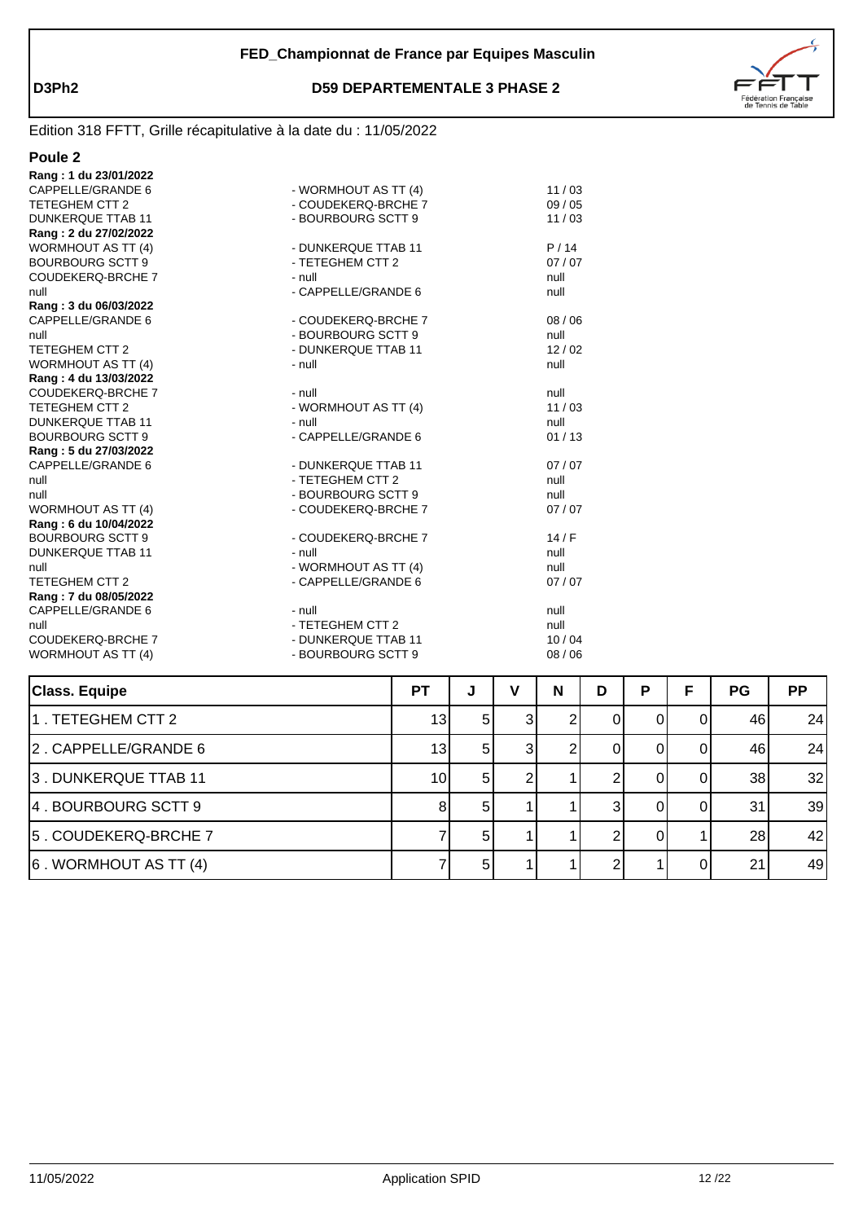

| I<br>ΠI |  |
|---------|--|
|         |  |

| <b>FUUITZ</b>             |                      |       |  |
|---------------------------|----------------------|-------|--|
| Rang: 1 du 23/01/2022     |                      |       |  |
| CAPPELLE/GRANDE 6         | - WORMHOUT AS TT (4) | 11/03 |  |
| TETEGHEM CTT 2            | - COUDEKERQ-BRCHE 7  | 09/05 |  |
| <b>DUNKERQUE TTAB 11</b>  | - BOURBOURG SCTT 9   | 11/03 |  |
| Rang: 2 du 27/02/2022     |                      |       |  |
| <b>WORMHOUT AS TT (4)</b> | - DUNKERQUE TTAB 11  | P/14  |  |
| <b>BOURBOURG SCTT 9</b>   | - TETEGHEM CTT 2     | 07/07 |  |
| <b>COUDEKERQ-BRCHE 7</b>  | - null               | null  |  |
| null                      | - CAPPELLE/GRANDE 6  | null  |  |
| Rang: 3 du 06/03/2022     |                      |       |  |
| CAPPELLE/GRANDE 6         | - COUDEKERQ-BRCHE 7  | 08/06 |  |
| null                      | - BOURBOURG SCTT 9   | null  |  |
| TETEGHEM CTT 2            | - DUNKERQUE TTAB 11  | 12/02 |  |
| <b>WORMHOUT AS TT (4)</b> | - null               | null  |  |
| Rang: 4 du 13/03/2022     |                      |       |  |
| <b>COUDEKERQ-BRCHE 7</b>  | - null               | null  |  |
| TETEGHEM CTT 2            | - WORMHOUT AS TT (4) | 11/03 |  |
| <b>DUNKERQUE TTAB 11</b>  | - null               | null  |  |
| <b>BOURBOURG SCTT 9</b>   | - CAPPELLE/GRANDE 6  | 01/13 |  |
| Rang: 5 du 27/03/2022     |                      |       |  |
| CAPPELLE/GRANDE 6         | - DUNKERQUE TTAB 11  | 07/07 |  |
| null                      | - TETEGHEM CTT 2     | null  |  |
| null                      | - BOURBOURG SCTT 9   | null  |  |
| <b>WORMHOUT AS TT (4)</b> | - COUDEKERQ-BRCHE 7  | 07/07 |  |
| Rang: 6 du 10/04/2022     |                      |       |  |
| <b>BOURBOURG SCTT 9</b>   | - COUDEKERQ-BRCHE 7  | 14/F  |  |
| <b>DUNKERQUE TTAB 11</b>  | - null               | null  |  |
| null                      | - WORMHOUT AS TT (4) | null  |  |
| TETEGHEM CTT 2            | - CAPPELLE/GRANDE 6  | 07/07 |  |
| Rang: 7 du 08/05/2022     |                      |       |  |
| CAPPELLE/GRANDE 6         | - null               | null  |  |
| null                      | - TETEGHEM CTT 2     | null  |  |
| <b>COUDEKERQ-BRCHE 7</b>  | - DUNKERQUE TTAB 11  | 10/04 |  |
| <b>WORMHOUT AS TT (4)</b> | - BOURBOURG SCTT 9   | 08/06 |  |
|                           |                      |       |  |

| <b>Class. Equipe</b>          | <b>PT</b>       | J              | ν | N | D | P | F  | <b>PG</b> | <b>PP</b> |
|-------------------------------|-----------------|----------------|---|---|---|---|----|-----------|-----------|
| 1. TETEGHEM CTT 2             | 13 <sub>l</sub> | -5 I           |   |   |   |   |    | 46        | 24        |
| 2. CAPPELLE/GRANDE 6          | 13              | 5 <sup>1</sup> |   |   |   |   |    | 46        | 24        |
| 3. DUNKERQUE TTAB 11          | 10              | -51            |   |   |   |   | 01 | 38        | 32        |
| 4. BOURBOURG SCTT 9           |                 | 51             |   |   |   |   |    | 31        | 39        |
| 5. COUDEKERQ-BRCHE 7          |                 | 5 <sup>1</sup> |   |   |   |   |    | 28        | 42        |
| $\vert$ 6. WORMHOUT AS TT (4) |                 | 5 <sub>1</sub> |   |   |   |   |    | 21        | 49        |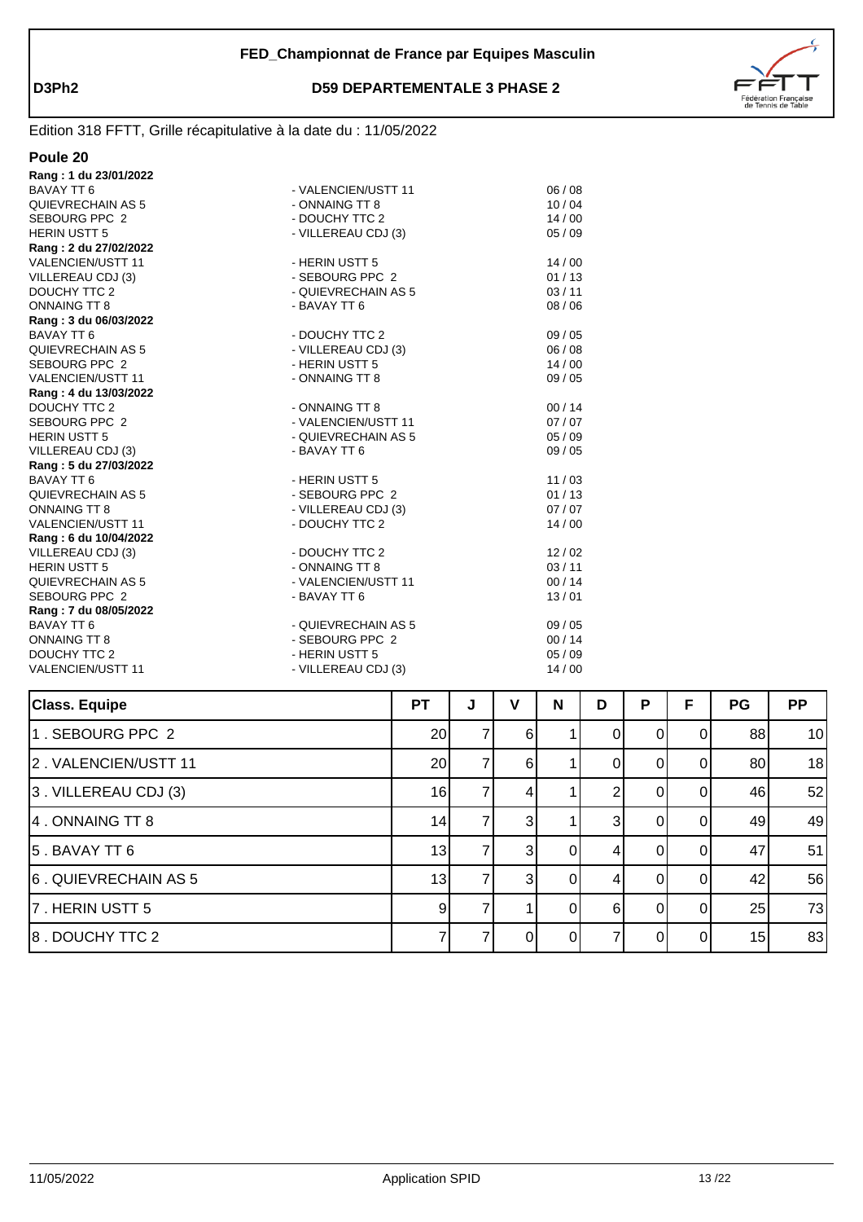

| Poule 20                 |                     |         |
|--------------------------|---------------------|---------|
| Rang: 1 du 23/01/2022    |                     |         |
| BAVAY TT 6               | - VALENCIEN/USTT 11 | 06/08   |
| QUIEVRECHAIN AS 5        | - ONNAING TT 8      | 10/04   |
| SEBOURG PPC 2            | - DOUCHY TTC 2      | 14/00   |
| <b>HERIN USTT 5</b>      | - VILLEREAU CDJ (3) | 05/09   |
| Rang: 2 du 27/02/2022    |                     |         |
| VALENCIEN/USTT 11        | - HERIN USTT 5      | 14/00   |
| VILLEREAU CDJ (3)        | - SEBOURG PPC 2     | 01/13   |
| <b>DOUCHY TTC 2</b>      | - QUIEVRECHAIN AS 5 | 03/11   |
| <b>ONNAING TT 8</b>      | - BAVAY TT 6        | 08/06   |
| Rang: 3 du 06/03/2022    |                     |         |
| BAVAY TT 6               | - DOUCHY TTC 2      | 09/05   |
| QUIEVRECHAIN AS 5        | - VILLEREAU CDJ (3) | 06/08   |
| SEBOURG PPC 2            | - HERIN USTT 5      | 14/00   |
| <b>VALENCIEN/USTT 11</b> | - ONNAING TT 8      | 09/05   |
| Rang: 4 du 13/03/2022    |                     |         |
| DOUCHY TTC 2             | - ONNAING TT 8      | 00/14   |
| SEBOURG PPC 2            | - VALENCIEN/USTT 11 | 07/07   |
| <b>HERIN USTT 5</b>      | - QUIEVRECHAIN AS 5 | 05/09   |
| VILLEREAU CDJ (3)        | - BAVAY TT 6        | 09/05   |
| Rang: 5 du 27/03/2022    |                     |         |
| <b>BAVAY TT 6</b>        | - HERIN USTT 5      | 11/03   |
| QUIEVRECHAIN AS 5        | - SEBOURG PPC 2     | 01/13   |
| <b>ONNAING TT 8</b>      | - VILLEREAU CDJ (3) | 07/07   |
| <b>VALENCIEN/USTT 11</b> | - DOUCHY TTC 2      | 14/00   |
| Rang: 6 du 10/04/2022    |                     |         |
| VILLEREAU CDJ (3)        | - DOUCHY TTC 2      | 12/02   |
| <b>HERIN USTT 5</b>      | - ONNAING TT 8      | 03/11   |
| QUIEVRECHAIN AS 5        | - VALENCIEN/USTT 11 | 00/14   |
| SEBOURG PPC 2            | - BAVAY TT 6        | 13/01   |
| Rang: 7 du 08/05/2022    |                     |         |
| <b>BAVAY TT 6</b>        | - QUIEVRECHAIN AS 5 | 09 / 05 |
| <b>ONNAING TT 8</b>      | - SEBOURG PPC 2     | 00/14   |
| DOUCHY TTC 2             | - HERIN USTT 5      | 05/09   |
| <b>VALENCIEN/USTT 11</b> | - VILLEREAU CDJ (3) | 14/00   |
|                          |                     |         |

| <b>Class. Equipe</b> | <b>PT</b>       | J | v              | N | D | P | F        | <b>PG</b> | <b>PP</b> |
|----------------------|-----------------|---|----------------|---|---|---|----------|-----------|-----------|
| 1. SEBOURG PPC 2     | 20 <sub>l</sub> |   | 6              |   | 0 | 0 | ΩI       | 88        | 10        |
| 2. VALENCIEN/USTT 11 | 20 <sub>l</sub> |   | 61             |   |   | O | $\Omega$ | 80        | 18        |
| 3. VILLEREAU CDJ (3) | 16              |   | 4              |   | ◠ |   |          | 46        | 52        |
| 4. ONNAING TT 8      | 14              |   | $\overline{3}$ |   | 3 |   |          | 49        | 49        |
| $5.$ BAVAY TT $6$    | 13              |   | 3 <sup>l</sup> | 0 |   |   |          | 47        | 51        |
| 6. QUIEVRECHAIN AS 5 | 13              |   | 3 <sup>l</sup> | 0 |   |   | 01       | 42        | 56        |
| 7. HERIN USTT 5      | 9               |   |                | 0 | 6 | 0 | ΩI       | 25        | 73        |
| 8. DOUCHY TTC 2      |                 |   | ΩI             | 0 |   | O | ΩI       | 15        | 83        |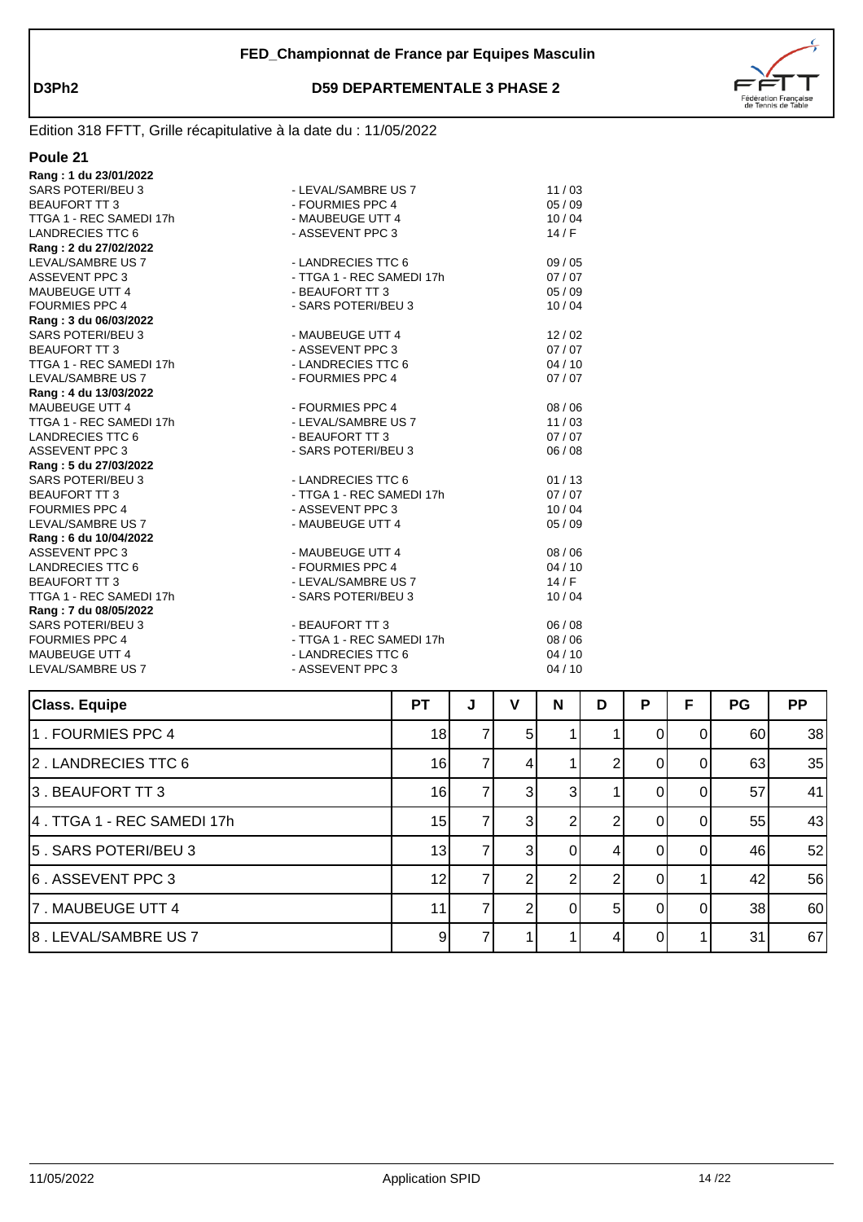



| Rang: 1 du 23/01/2022    |                           |       |
|--------------------------|---------------------------|-------|
| <b>SARS POTERI/BEU 3</b> | - LEVAL/SAMBRE US 7       | 11/03 |
| <b>BEAUFORT TT 3</b>     | - FOURMIES PPC 4          | 05/09 |
| TTGA 1 - REC SAMEDI 17h  | - MAUBEUGE UTT 4          | 10/04 |
| <b>LANDRECIES TTC 6</b>  | - ASSEVENT PPC 3          | 14/F  |
| Rang: 2 du 27/02/2022    |                           |       |
| LEVAL/SAMBRE US 7        | - LANDRECIES TTC 6        | 09/05 |
| <b>ASSEVENT PPC 3</b>    | - TTGA 1 - REC SAMEDI 17h | 07/07 |
| <b>MAUBEUGE UTT 4</b>    | - BEAUFORT TT 3           | 05/09 |
| <b>FOURMIES PPC 4</b>    | - SARS POTERI/BEU 3       | 10/04 |
| Rang: 3 du 06/03/2022    |                           |       |
| SARS POTERI/BEU 3        | - MAUBEUGE UTT 4          | 12/02 |
| <b>BEAUFORT TT3</b>      | - ASSEVENT PPC 3          | 07/07 |
| TTGA 1 - REC SAMEDI 17h  | - LANDRECIES TTC 6        | 04/10 |
| LEVAL/SAMBRE US 7        | - FOURMIES PPC 4          | 07/07 |
| Rang: 4 du 13/03/2022    |                           |       |
| <b>MAUBEUGE UTT 4</b>    | - FOURMIES PPC 4          | 08/06 |
| TTGA 1 - REC SAMEDI 17h  | - LEVAL/SAMBRE US 7       | 11/03 |
| <b>LANDRECIES TTC 6</b>  | - BEAUFORT TT 3           | 07/07 |
| <b>ASSEVENT PPC 3</b>    | - SARS POTERI/BEU 3       | 06/08 |
| Rang: 5 du 27/03/2022    |                           |       |
| <b>SARS POTERI/BEU 3</b> | - LANDRECIES TTC 6        | 01/13 |
| <b>BEAUFORT TT3</b>      | - TTGA 1 - REC SAMEDI 17h | 07/07 |
| <b>FOURMIES PPC 4</b>    | - ASSEVENT PPC 3          | 10/04 |
| LEVAL/SAMBRE US 7        | - MAUBEUGE UTT 4          | 05/09 |
| Rang: 6 du 10/04/2022    |                           |       |
| <b>ASSEVENT PPC 3</b>    | - MAUBEUGE UTT 4          | 08/06 |
| <b>LANDRECIES TTC 6</b>  | - FOURMIES PPC 4          | 04/10 |
| <b>BEAUFORT TT 3</b>     | - LEVAL/SAMBRE US 7       | 14/F  |
| TTGA 1 - REC SAMEDI 17h  | - SARS POTERI/BEU 3       | 10/04 |
| Rang: 7 du 08/05/2022    |                           |       |
| <b>SARS POTERI/BEU 3</b> | - BEAUFORT TT 3           | 06/08 |
| <b>FOURMIES PPC 4</b>    | - TTGA 1 - REC SAMEDI 17h | 08/06 |
| <b>MAUBEUGE UTT 4</b>    | - LANDRECIES TTC 6        | 04/10 |
| LEVAL/SAMBRE US 7        | - ASSEVENT PPC 3          | 04/10 |
|                          |                           |       |

| <b>Class. Equipe</b>       | <b>PT</b> | J | v              | N            | D              | P | F | PG | <b>PP</b> |
|----------------------------|-----------|---|----------------|--------------|----------------|---|---|----|-----------|
| 1. FOURMIES PPC 4          | 18        |   | 5 <sup>1</sup> |              |                |   | O | 60 | 38        |
| 2. LANDRECIES TTC 6        | 16        |   | 4              |              |                |   |   | 63 | 35        |
| 3. BEAUFORT TT 3           | 16        |   | 3 <sub>l</sub> | $\mathbf{3}$ |                |   |   | 57 | 41        |
| 4. TTGA 1 - REC SAMEDI 17h | 15        |   | $\overline{3}$ |              |                |   |   | 55 | 43        |
| 5. SARS POTERI/BEU 3       | 13        |   | $\overline{3}$ |              |                |   |   | 46 | 52        |
| 6. ASSEVENT PPC 3          | 12        |   | 2              |              |                |   |   | 42 | 56        |
| 7. MAUBEUGE UTT 4          | 11        |   | 2              | 01           | 5 <sup>1</sup> |   | O | 38 | 60        |
| 8. LEVAL/SAMBRE US 7       | 9         |   |                |              | 4              |   |   | 31 | 67        |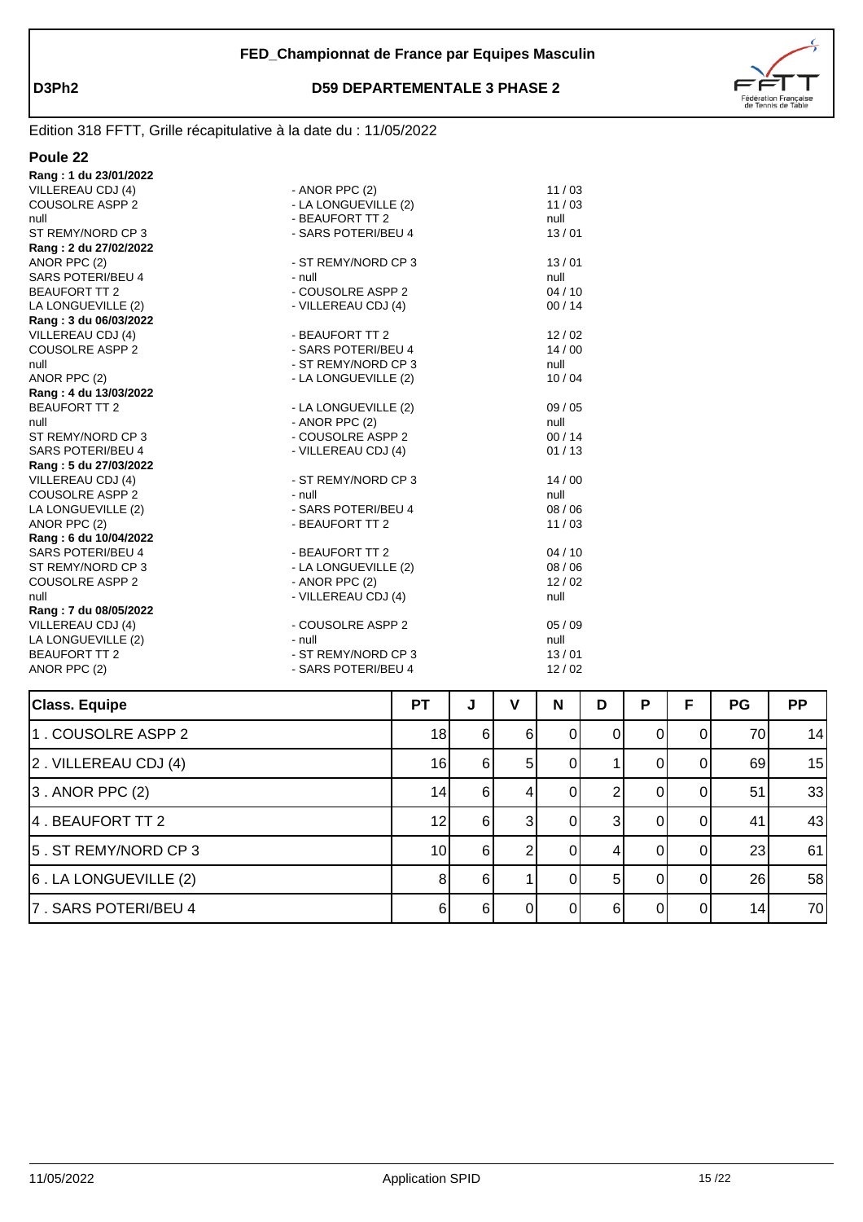

| Poule 22                 |                      |         |
|--------------------------|----------------------|---------|
| Rang: 1 du 23/01/2022    |                      |         |
| VILLEREAU CDJ (4)        | - ANOR PPC $(2)$     | 11/03   |
| <b>COUSOLRE ASPP 2</b>   | - LA LONGUEVILLE (2) | 11/03   |
| null                     | - BEAUFORT TT 2      | null    |
| ST REMY/NORD CP 3        | - SARS POTERI/BEU 4  | 13/01   |
| Rang: 2 du 27/02/2022    |                      |         |
| ANOR PPC (2)             | - ST REMY/NORD CP 3  | 13/01   |
| SARS POTERI/BEU 4        | - null               | null    |
| <b>BEAUFORT TT 2</b>     | - COUSOLRE ASPP 2    | 04/10   |
| LA LONGUEVILLE (2)       | - VILLEREAU CDJ (4)  | 00/14   |
| Rang: 3 du 06/03/2022    |                      |         |
| VILLEREAU CDJ (4)        | - BEAUFORT TT 2      | 12/02   |
| <b>COUSOLRE ASPP 2</b>   | - SARS POTERI/BEU 4  | 14/00   |
| null                     | - ST REMY/NORD CP 3  | null    |
| ANOR PPC (2)             | - LA LONGUEVILLE (2) | 10/04   |
| Rang: 4 du 13/03/2022    |                      |         |
| <b>BEAUFORT TT 2</b>     | - LA LONGUEVILLE (2) | 09 / 05 |
| null                     | - ANOR PPC $(2)$     | null    |
| ST REMY/NORD CP 3        | - COUSOLRE ASPP 2    | 00/14   |
| SARS POTERI/BEU 4        | - VILLEREAU CDJ (4)  | 01/13   |
| Rang: 5 du 27/03/2022    |                      |         |
| VILLEREAU CDJ (4)        | - ST REMY/NORD CP 3  | 14/00   |
| <b>COUSOLRE ASPP 2</b>   | - null               | null    |
| LA LONGUEVILLE (2)       | - SARS POTERI/BEU 4  | 08 / 06 |
| ANOR PPC (2)             | - BEAUFORT TT 2      | 11/03   |
| Rang: 6 du 10/04/2022    |                      |         |
| <b>SARS POTERI/BEU 4</b> | - BEAUFORT TT 2      | 04/10   |
| ST REMY/NORD CP 3        | - LA LONGUEVILLE (2) | 08 / 06 |
| <b>COUSOLRE ASPP 2</b>   | - ANOR PPC $(2)$     | 12/02   |
| null                     | - VILLEREAU CDJ (4)  | null    |
| Rang: 7 du 08/05/2022    |                      |         |
| VILLEREAU CDJ (4)        | - COUSOLRE ASPP 2    | 05/09   |
| LA LONGUEVILLE (2)       | - null               | null    |
| <b>BEAUFORT TT 2</b>     | - ST REMY/NORD CP 3  | 13/01   |
| ANOR PPC (2)             | - SARS POTERI/BEU 4  | 12/02   |
|                          |                      |         |

| <b>Class. Equipe</b>         | <b>PT</b>       | J   | v  | N            | D  | P       | F        | <b>PG</b> | <b>PP</b> |
|------------------------------|-----------------|-----|----|--------------|----|---------|----------|-----------|-----------|
| 1. COUSOLRE ASPP 2           | 18              | -61 | 61 | $\mathbf{0}$ | 0  |         |          | 70        | 14        |
| $\vert$ 2. VILLEREAU CDJ (4) | 16              | 61  | 51 |              |    |         | $\Omega$ | 69        | 15        |
| $ 3$ . ANOR PPC $(2)$        | 14              | -61 | 4  | 0            |    | $^{11}$ | ΩI       | 51        | 33        |
| 4 . BEAUFORT TT 2            | 12              | -61 | 31 | 0            |    |         |          | 41        | 43        |
| 5. ST REMY/NORD CP 3         | 10 <sup>1</sup> | 6I  | ◠  |              |    |         |          | 23        | 61        |
| $ 6$ . LA LONGUEVILLE $(2)$  | 8               | -61 |    |              | 51 |         | $\Omega$ | 26        | 58        |
| 7. SARS POTERI/BEU 4         | 6               | 6I  | ΩI |              | 61 |         | ΩI       | 14        | 70        |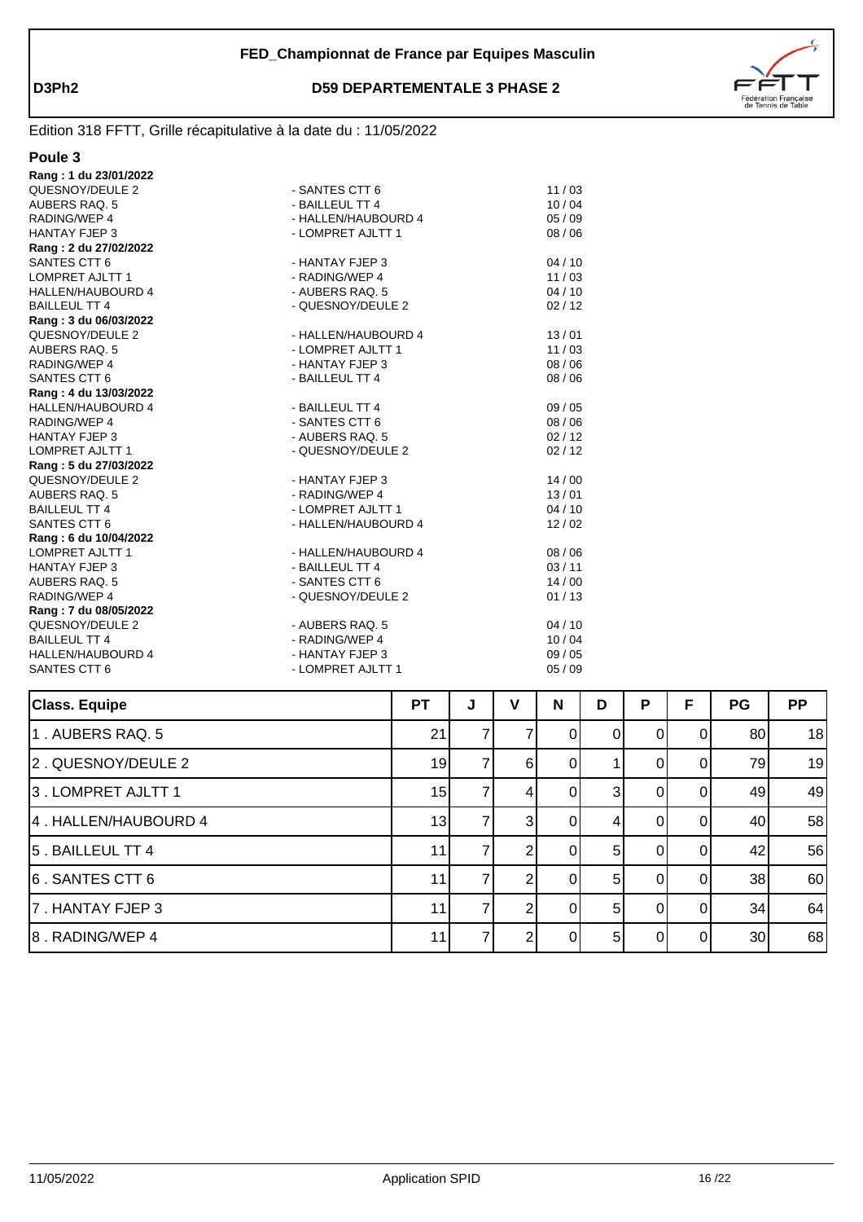



| ιL |  |
|----|--|
|----|--|

| Rang: 1 du 23/01/2022    |                     |       |
|--------------------------|---------------------|-------|
| QUESNOY/DEULE 2          | - SANTES CTT 6      | 11/03 |
| AUBERS RAQ. 5            | - BAILLEUL TT 4     | 10/04 |
| RADING/WEP 4             | - HALLEN/HAUBOURD 4 | 05/09 |
| <b>HANTAY FJEP 3</b>     | - LOMPRET AJLTT 1   | 08/06 |
| Rang: 2 du 27/02/2022    |                     |       |
| SANTES CTT 6             | - HANTAY FJEP 3     | 04/10 |
| <b>LOMPRET AJLTT 1</b>   | - RADING/WEP 4      | 11/03 |
| <b>HALLEN/HAUBOURD 4</b> | - AUBERS RAQ. 5     | 04/10 |
| <b>BAILLEUL TT 4</b>     | - QUESNOY/DEULE 2   | 02/12 |
| Rang: 3 du 06/03/2022    |                     |       |
| QUESNOY/DEULE 2          | - HALLEN/HAUBOURD 4 | 13/01 |
| AUBERS RAQ. 5            | - LOMPRET AJLTT 1   | 11/03 |
| RADING/WEP 4             | - HANTAY FJEP 3     | 08/06 |
| SANTES CTT 6             | - BAILLEUL TT 4     | 08/06 |
| Rang: 4 du 13/03/2022    |                     |       |
| <b>HALLEN/HAUBOURD 4</b> | - BAILLEUL TT 4     | 09/05 |
| RADING/WEP 4             | - SANTES CTT 6      | 08/06 |
| <b>HANTAY FJEP 3</b>     | - AUBERS RAQ. 5     | 02/12 |
| LOMPRET AJLTT 1          | - QUESNOY/DEULE 2   | 02/12 |
| Rang: 5 du 27/03/2022    |                     |       |
| QUESNOY/DEULE 2          | - HANTAY FJEP 3     | 14/00 |
| AUBERS RAQ. 5            | - RADING/WEP 4      | 13/01 |
| <b>BAILLEUL TT 4</b>     | - LOMPRET AJLTT 1   | 04/10 |
| SANTES CTT 6             | - HALLEN/HAUBOURD 4 | 12/02 |
| Rang: 6 du 10/04/2022    |                     |       |
| <b>LOMPRET AJLTT 1</b>   | - HALLEN/HAUBOURD 4 | 08/06 |
| <b>HANTAY FJEP 3</b>     | - BAILLEUL TT 4     | 03/11 |
| AUBERS RAQ. 5            | - SANTES CTT 6      | 14/00 |
| RADING/WEP 4             | - QUESNOY/DEULE 2   | 01/13 |
| Rang: 7 du 08/05/2022    |                     |       |
| QUESNOY/DEULE 2          | - AUBERS RAQ. 5     | 04/10 |
| <b>BAILLEUL TT 4</b>     | - RADING/WEP 4      | 10/04 |
| <b>HALLEN/HAUBOURD 4</b> | - HANTAY FJEP 3     | 09/05 |
| SANTES CTT 6             | - LOMPRET AJLTT 1   | 05/09 |
|                          |                     |       |

| <b>Class. Equipe</b> | <b>PT</b> | J | v              | N        | D | P | F        | <b>PG</b> | <b>PP</b> |
|----------------------|-----------|---|----------------|----------|---|---|----------|-----------|-----------|
| 1. AUBERS RAQ. 5     | 21        |   |                | 0        | 0 | O | 0        | 80        | 18        |
| 2. QUESNOY/DEULE 2   | 19        |   | 6              | 0        |   |   | 0        | 79        | 19        |
| 3. LOMPRET AJLTT 1   | 15        |   | 4              | 0        | 3 |   |          | 49        | 49        |
| 4. HALLEN/HAUBOURD 4 | 13        |   | $\overline{3}$ |          |   |   | 01       | 40        | 58        |
| 5. BAILLEUL TT 4     | 11        |   |                | 0        | 5 | 0 | 01       | 42        | 56        |
| 6. SANTES CTT 6      | 11        |   |                | 0        | 5 | 0 | $\Omega$ | 38        | 60        |
| 7. HANTAY FJEP 3     | 11        |   |                | $\Omega$ | 5 | 0 | $\Omega$ | 34        | 64        |
| 8. RADING/WEP 4      | 11        |   | ⌒              | ∩        | 5 | U | $\Omega$ | 30        | 68        |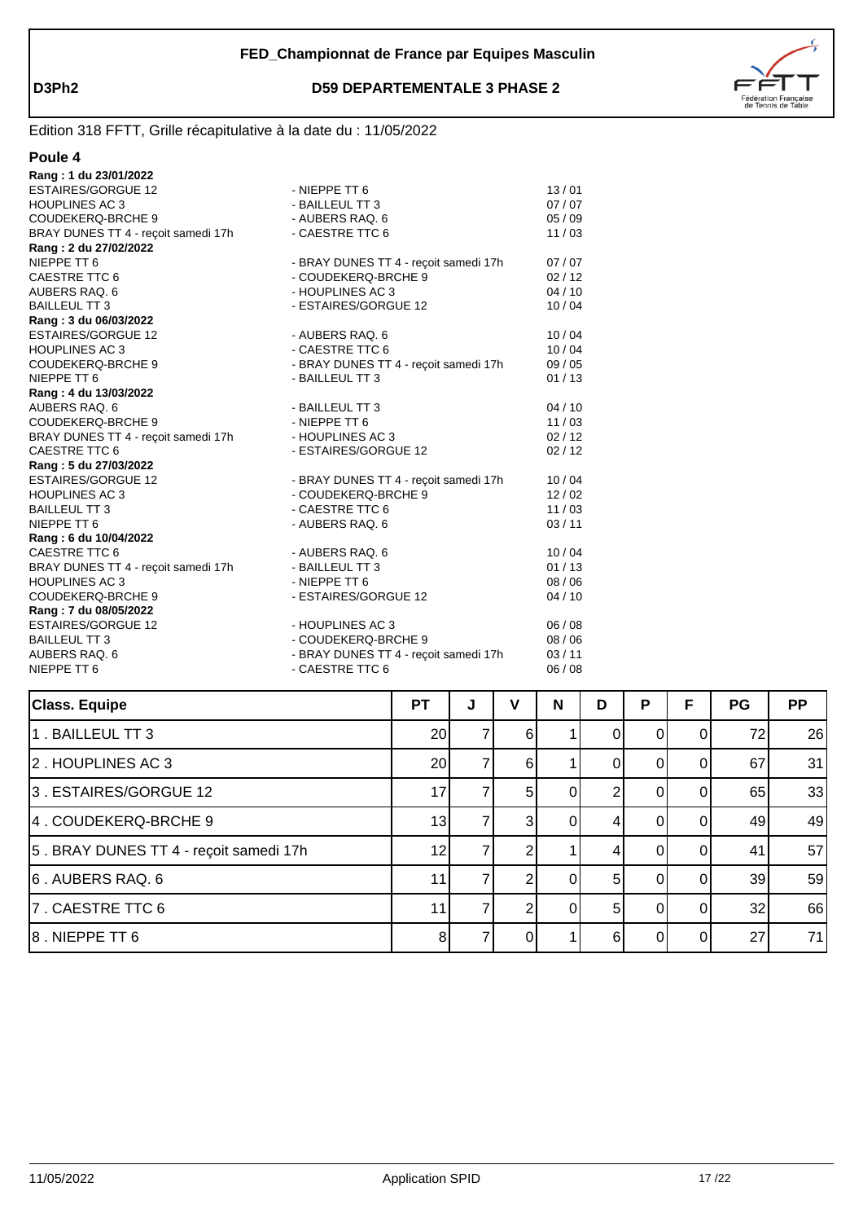



| Π<br>1 I |
|----------|
|----------|

| Rang: 1 du 23/01/2022               |                                       |       |
|-------------------------------------|---------------------------------------|-------|
| <b>ESTAIRES/GORGUE 12</b>           | - NIEPPE TT 6                         | 13/01 |
| <b>HOUPLINES AC3</b>                | - BAILLEUL TT 3                       | 07/07 |
| <b>COUDEKERQ-BRCHE 9</b>            | - AUBERS RAQ. 6                       | 05/09 |
| BRAY DUNES TT 4 - recoit samedi 17h | - CAESTRE TTC 6                       | 11/03 |
| Rang: 2 du 27/02/2022               |                                       |       |
| NIEPPE TT 6                         | - BRAY DUNES TT 4 - reçoit samedi 17h | 07/07 |
| CAESTRE TTC 6                       | - COUDEKERQ-BRCHE 9                   | 02/12 |
| AUBERS RAQ. 6                       | - HOUPLINES AC 3                      | 04/10 |
| <b>BAILLEUL TT 3</b>                | - ESTAIRES/GORGUE 12                  | 10/04 |
| Rang: 3 du 06/03/2022               |                                       |       |
| <b>ESTAIRES/GORGUE 12</b>           | - AUBERS RAQ. 6                       | 10/04 |
| <b>HOUPLINES AC3</b>                | - CAESTRE TTC 6                       | 10/04 |
| <b>COUDEKERQ-BRCHE 9</b>            | - BRAY DUNES TT 4 - reçoit samedi 17h | 09/05 |
| NIEPPE TT 6                         | - BAILLEUL TT 3                       | 01/13 |
| Rang: 4 du 13/03/2022               |                                       |       |
| AUBERS RAQ. 6                       | - BAILLEUL TT 3                       | 04/10 |
| <b>COUDEKERQ-BRCHE 9</b>            | - NIEPPE TT 6                         | 11/03 |
| BRAY DUNES TT 4 - recoit samedi 17h | - HOUPLINES AC 3                      | 02/12 |
| CAESTRE TTC 6                       | - ESTAIRES/GORGUE 12                  | 02/12 |
| Rang: 5 du 27/03/2022               |                                       |       |
| <b>ESTAIRES/GORGUE 12</b>           | - BRAY DUNES TT 4 - reçoit samedi 17h | 10/04 |
| <b>HOUPLINES AC3</b>                | - COUDEKERQ-BRCHE 9                   | 12/02 |
| <b>BAILLEUL TT 3</b>                | - CAESTRE TTC 6                       | 11/03 |
| NIEPPE TT 6                         | - AUBERS RAQ. 6                       | 03/11 |
| Rang: 6 du 10/04/2022               |                                       |       |
| CAESTRE TTC 6                       | - AUBERS RAQ. 6                       | 10/04 |
| BRAY DUNES TT 4 - reçoit samedi 17h | - BAILLEUL TT 3                       | 01/13 |
| <b>HOUPLINES AC3</b>                | - NIEPPE TT 6                         | 08/06 |
| <b>COUDEKERQ-BRCHE 9</b>            | - ESTAIRES/GORGUE 12                  | 04/10 |
| Rang: 7 du 08/05/2022               |                                       |       |
| <b>ESTAIRES/GORGUE 12</b>           | - HOUPLINES AC 3                      | 06/08 |
| <b>BAILLEUL TT 3</b>                | - COUDEKERQ-BRCHE 9                   | 08/06 |
| AUBERS RAQ. 6                       | - BRAY DUNES TT 4 - reçoit samedi 17h | 03/11 |
| NIEPPE TT 6                         | - CAESTRE TTC 6                       | 06/08 |
|                                     |                                       |       |

| <b>Class. Equipe</b>                   | РT              | J | v              | N        | D              | P | F | <b>PG</b> | <b>PP</b> |
|----------------------------------------|-----------------|---|----------------|----------|----------------|---|---|-----------|-----------|
| 1. BAILLEUL TT 3                       | 20              |   | 6              |          |                |   |   | 72        | 26        |
| 2. HOUPLINES AC 3                      | 20              |   | 6              |          |                |   |   | 67        | 31        |
| 3. ESTAIRES/GORGUE 12                  | 17              |   | 5 <sup>1</sup> |          | ົ              |   |   | 65        | 33        |
| 4. COUDEKERQ-BRCHE 9                   | 13              |   | 3              |          |                |   |   | 49        | 49        |
| 5. BRAY DUNES TT 4 - reçoit samedi 17h | 12 <sub>1</sub> |   |                |          | 4              |   |   | 41        | 57        |
| 6. AUBERS RAQ. 6                       | 11              |   |                | $\Omega$ | 5 <sup>1</sup> |   | 0 | 39        | 59        |
| 7. CAESTRE TTC 6                       | 11              |   |                |          | 5 <sup>1</sup> |   |   | 32        | 66        |
| $ 8$ . NIEPPE TT $6$                   | 8               |   |                |          | ĥ              |   |   | 27        | 71        |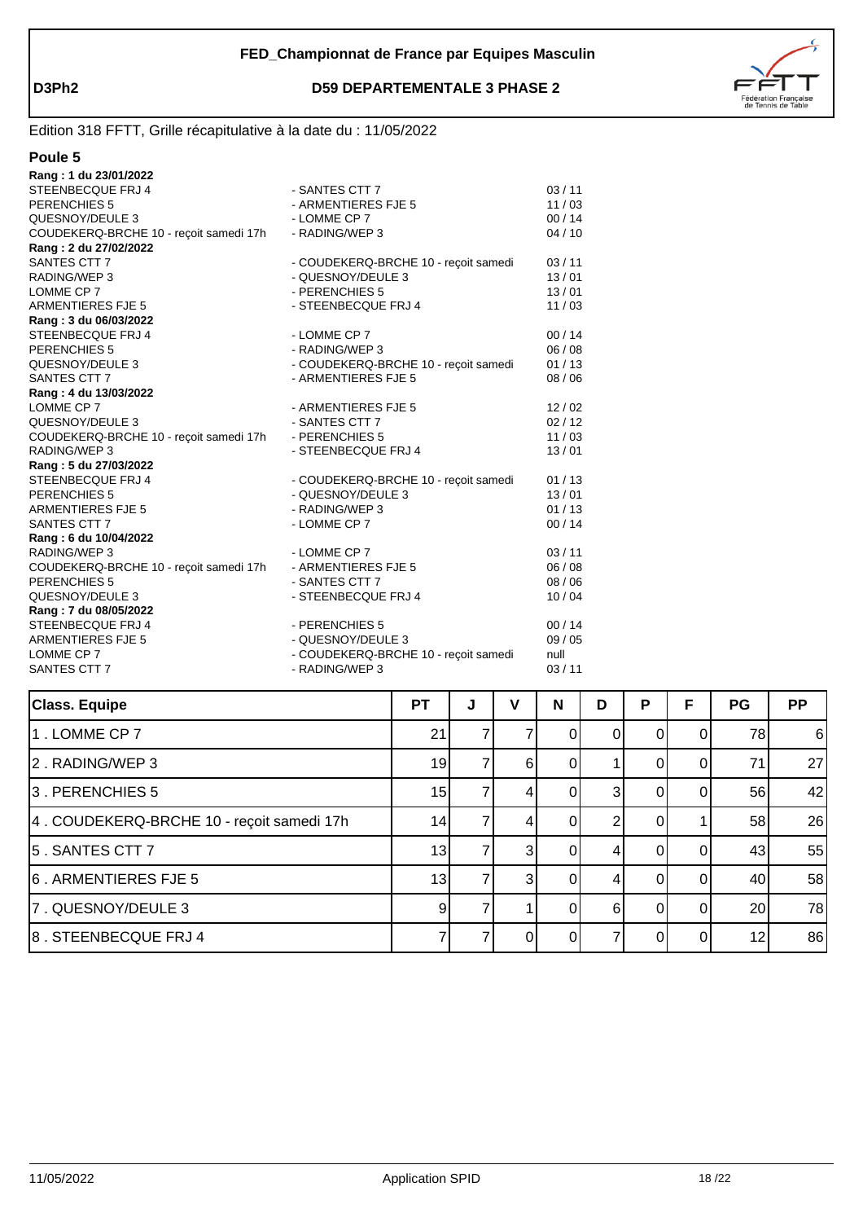

| ıШ |
|----|
|----|

| - SANTES CTT 7                       | 03/11                                                                                          |
|--------------------------------------|------------------------------------------------------------------------------------------------|
| - ARMENTIERES FJE 5                  | 11/03                                                                                          |
| - LOMME CP 7                         | 00/14                                                                                          |
| - RADING/WEP 3                       | 04/10                                                                                          |
|                                      |                                                                                                |
| - COUDEKERQ-BRCHE 10 - reçoit samedi | 03/11                                                                                          |
| - QUESNOY/DEULE 3                    | 13/01                                                                                          |
| - PERENCHIES 5                       | 13/01                                                                                          |
| - STEENBECQUE FRJ 4                  | 11/03                                                                                          |
|                                      |                                                                                                |
| - LOMME CP 7                         | 00/14                                                                                          |
| - RADING/WEP 3                       | 06/08                                                                                          |
| - COUDEKERQ-BRCHE 10 - recoit samedi | 01/13                                                                                          |
| - ARMENTIERES FJE 5                  | 08/06                                                                                          |
|                                      |                                                                                                |
| - ARMENTIERES FJE 5                  | 12/02                                                                                          |
| - SANTES CTT 7                       | 02/12                                                                                          |
| - PERENCHIES 5                       | 11/03                                                                                          |
| - STEENBECQUE FRJ 4                  | 13/01                                                                                          |
|                                      |                                                                                                |
|                                      | 01/13                                                                                          |
| - QUESNOY/DEULE 3                    | 13/01                                                                                          |
| - RADING/WEP 3                       | 01/13                                                                                          |
| - LOMME CP 7                         | 00/14                                                                                          |
|                                      |                                                                                                |
| - LOMME CP 7                         | 03/11                                                                                          |
| - ARMENTIERES FJE 5                  | 06/08                                                                                          |
| - SANTES CTT 7                       | 08/06                                                                                          |
| - STEENBECQUE FRJ 4                  | 10/04                                                                                          |
|                                      |                                                                                                |
| - PERENCHIES 5                       | 00/14                                                                                          |
| - QUESNOY/DEULE 3                    | 09/05                                                                                          |
|                                      | null                                                                                           |
|                                      | 03/11                                                                                          |
|                                      | - COUDEKERQ-BRCHE 10 - reçoit samedi<br>- COUDEKERQ-BRCHE 10 - reçoit samedi<br>- RADING/WEP 3 |

| <b>Class. Equipe</b>                      | <b>PT</b> | J | ν              | N        | D | P | F  | PG | <b>PP</b> |
|-------------------------------------------|-----------|---|----------------|----------|---|---|----|----|-----------|
| 1. LOMME CP 7                             | 21        |   |                |          |   |   |    | 78 | $6 \,$    |
| 2. RADING/WEP 3                           | 19        |   | 61             | 0        |   |   |    | 71 | 27        |
| 3. PERENCHIES 5                           | 15        |   |                | 0        | 3 |   |    | 56 | 42        |
| 4. COUDEKERQ-BRCHE 10 - reçoit samedi 17h | 14        |   |                | 0        |   |   |    | 58 | 26        |
| 5. SANTES CTT 7                           | 13        |   | 3 <sup>l</sup> | 0        | 4 |   | 0  | 43 | 55        |
| 6. ARMENTIERES FJE 5                      | 13        |   | 31             | $\Omega$ | 4 | O | ΩI | 40 | 58        |
| 7. QUESNOY/DEULE 3                        | 9         |   |                | 0        | 6 | O | ΩI | 20 | 78        |
| 8. STEENBECQUE FRJ 4                      |           |   |                |          |   |   |    | 12 | 86        |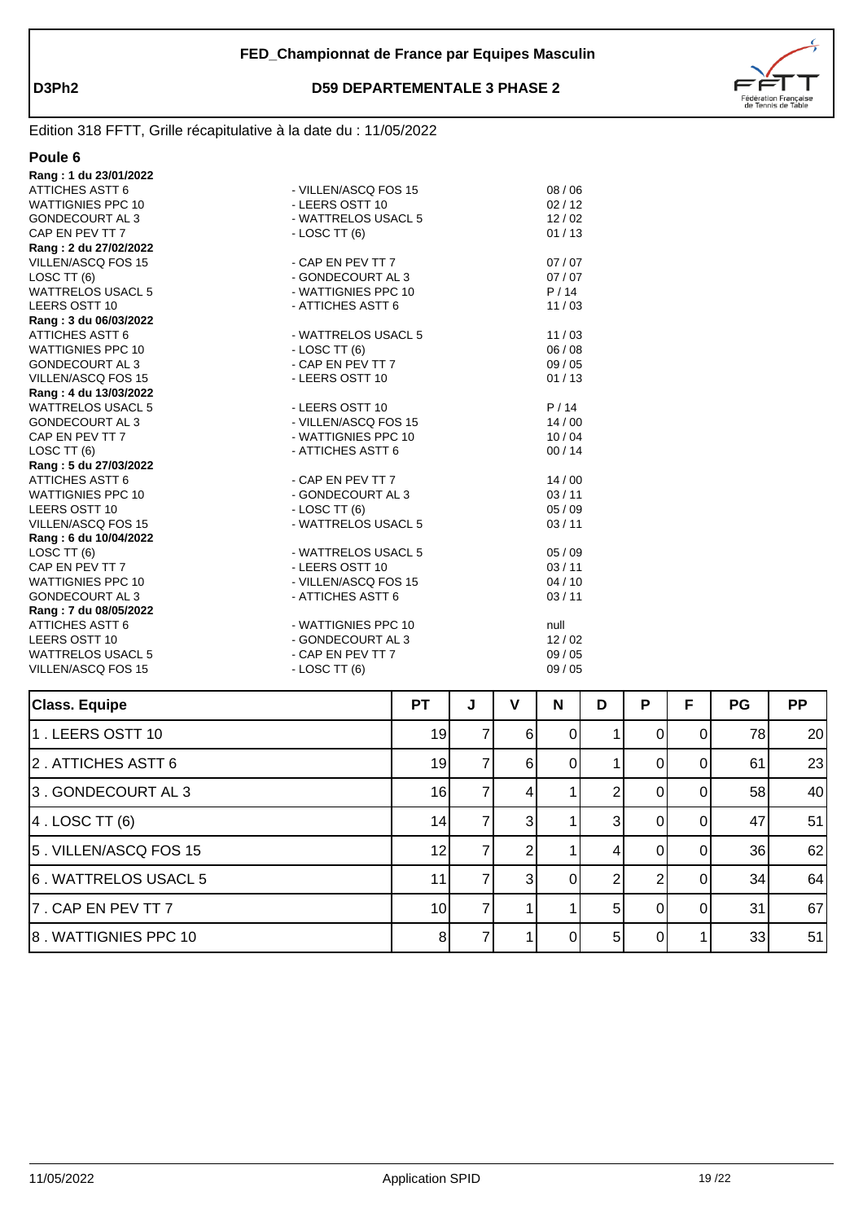

| וו<br>I |  |
|---------|--|
|---------|--|

| Rang: 1 du 23/01/2022     |                      |       |
|---------------------------|----------------------|-------|
| <b>ATTICHES ASTT 6</b>    | - VILLEN/ASCQ FOS 15 | 08/06 |
| <b>WATTIGNIES PPC 10</b>  | - LEERS OSTT 10      | 02/12 |
| <b>GONDECOURT AL 3</b>    | - WATTRELOS USACL 5  | 12/02 |
| CAP EN PEV TT 7           | $-$ LOSC TT $(6)$    | 01/13 |
| Rang: 2 du 27/02/2022     |                      |       |
| VILLEN/ASCQ FOS 15        | - CAP EN PEV TT 7    | 07/07 |
| LOSC TT (6)               | - GONDECOURT AL 3    | 07/07 |
| <b>WATTRELOS USACL 5</b>  | - WATTIGNIES PPC 10  | P/14  |
| LEERS OSTT 10             | - ATTICHES ASTT 6    | 11/03 |
| Rang: 3 du 06/03/2022     |                      |       |
| <b>ATTICHES ASTT 6</b>    | - WATTRELOS USACL 5  | 11/03 |
| <b>WATTIGNIES PPC 10</b>  | $-LOSCTT(6)$         | 06/08 |
| <b>GONDECOURT AL 3</b>    | - CAP EN PEV TT 7    | 09/05 |
| VILLEN/ASCQ FOS 15        | - LEERS OSTT 10      | 01/13 |
| Rang: 4 du 13/03/2022     |                      |       |
| WATTRELOS USACL 5         | - LEERS OSTT 10      | P/14  |
| <b>GONDECOURT AL 3</b>    | - VILLEN/ASCQ FOS 15 | 14/00 |
| CAP EN PEV TT 7           | - WATTIGNIES PPC 10  | 10/04 |
| LOSC TT (6)               | - ATTICHES ASTT 6    | 00/14 |
| Rang: 5 du 27/03/2022     |                      |       |
| <b>ATTICHES ASTT 6</b>    | - CAP EN PEV TT 7    | 14/00 |
| <b>WATTIGNIES PPC 10</b>  | - GONDECOURT AL 3    | 03/11 |
| LEERS OSTT 10             | $-$ LOSC TT $(6)$    | 05/09 |
| <b>VILLEN/ASCQ FOS 15</b> | - WATTRELOS USACL 5  | 03/11 |
| Rang: 6 du 10/04/2022     |                      |       |
| LOSC TT (6)               | - WATTRELOS USACL 5  | 05/09 |
| CAP EN PEV TT 7           | - LEERS OSTT 10      | 03/11 |
| <b>WATTIGNIES PPC 10</b>  | - VILLEN/ASCQ FOS 15 | 04/10 |
| <b>GONDECOURT AL 3</b>    | - ATTICHES ASTT 6    | 03/11 |
| Rang: 7 du 08/05/2022     |                      |       |
| <b>ATTICHES ASTT 6</b>    | - WATTIGNIES PPC 10  | null  |
| LEERS OSTT 10             | - GONDECOURT AL 3    | 12/02 |
| WATTRELOS USACL 5         | - CAP EN PEV TT 7    | 09/05 |
| VILLEN/ASCQ FOS 15        | $-LOSCTT(6)$         | 09/05 |
|                           |                      |       |

| <b>Class. Equipe</b>  | <b>PT</b>       | J | v              | N | D              | P  | F        | <b>PG</b> | <b>PP</b> |
|-----------------------|-----------------|---|----------------|---|----------------|----|----------|-----------|-----------|
| 1. LEERS OSTT 10      | 19              |   | 6              | 0 |                |    | 0        | 78        | 20        |
| 2. ATTICHES ASTT 6    | 19              |   | 6              |   |                |    | 0        | 61        | 23        |
| 3. GONDECOURT AL 3    | 16              |   | 4              |   |                |    | $\Omega$ | 58        | 40        |
| $ 4$ . LOSC TT $(6)$  | 14              |   | $\overline{3}$ |   | 3              |    | $\Omega$ | 47        | 51        |
| 5. VILLEN/ASCQ FOS 15 | 12              |   |                |   |                |    |          | 36        | 62        |
| 6. WATTRELOS USACL 5  | 11              |   | $\mathcal{E}$  | 0 | ⌒              |    | $\Omega$ | 34        | 64        |
| 7. CAP EN PEV TT 7    | 10 <sup>1</sup> |   |                |   | 51             | ΩI | $\Omega$ | 31        | 67        |
| 8. WATTIGNIES PPC 10  | 8               |   |                |   | 5 <sup>1</sup> |    |          | 33        | 51        |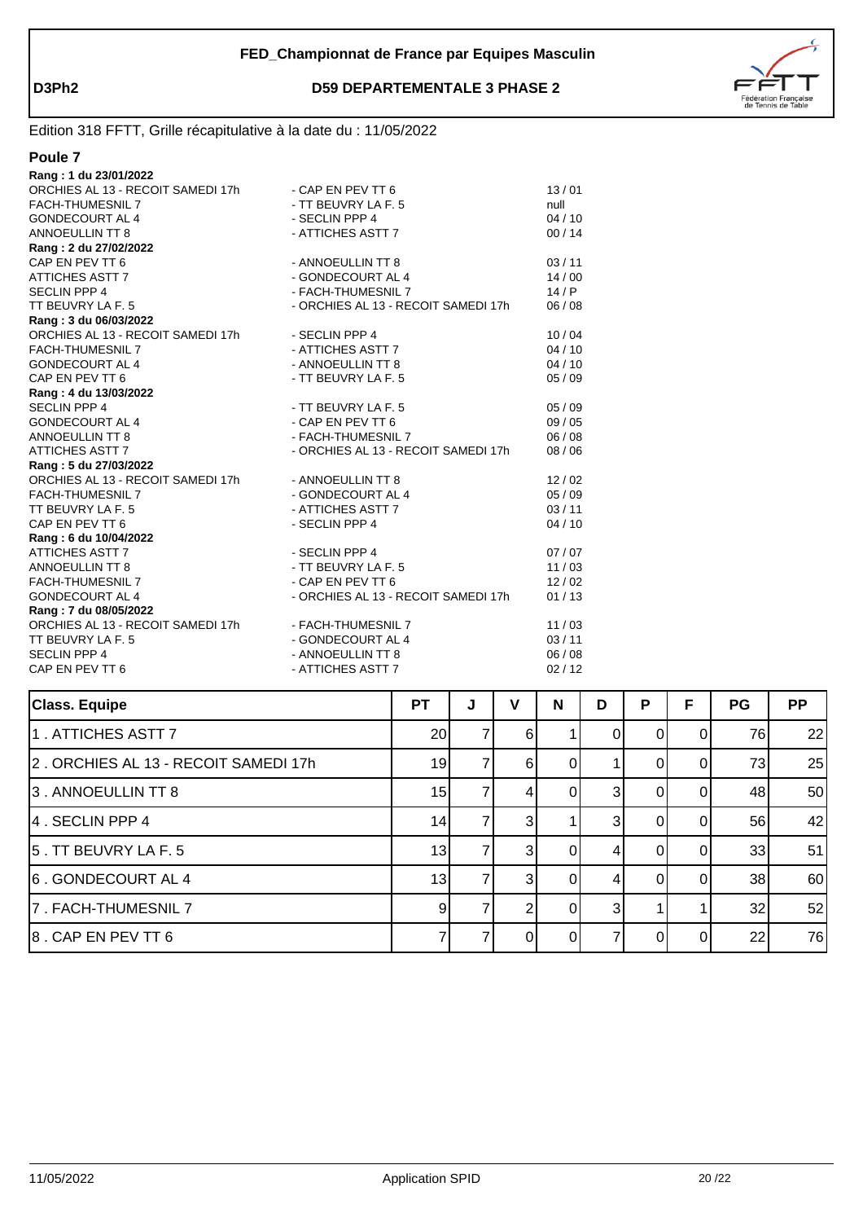

#### **Poule 7**

| Rang: 1 du 23/01/2022                               |                                     |         |
|-----------------------------------------------------|-------------------------------------|---------|
| ORCHIES AL 13 - RECOIT SAMEDI 17h                   | - CAP EN PEV TT 6                   | 13/01   |
| <b>FACH-THUMESNIL 7</b>                             | - TT BEUVRY LA F. 5                 | null    |
| <b>GONDECOURT AL 4</b>                              | - SECLIN PPP 4                      | 04/10   |
| <b>ANNOEULLIN TT 8</b>                              | - ATTICHES ASTT 7                   | 00/14   |
| Rang: 2 du 27/02/2022                               |                                     |         |
| CAP EN PEV TT 6                                     | - ANNOEULLIN TT 8                   | 03/11   |
| ATTICHES ASTT 7                                     | - GONDECOURT AL 4                   | 14/00   |
| <b>SECLIN PPP 4</b>                                 | - FACH-THUMESNIL 7                  | 14/P    |
| TT BEUVRY LA F. 5                                   | - ORCHIES AL 13 - RECOIT SAMEDI 17h | 06/08   |
| Rang: 3 du 06/03/2022                               |                                     |         |
| ORCHIES AL 13 - RECOIT SAMEDI 17h                   | - SECLIN PPP 4                      | 10/04   |
| <b>FACH-THUMESNIL 7</b>                             | - ATTICHES ASTT 7                   | 04/10   |
| <b>GONDECOURT AL 4</b>                              | - ANNOEULLIN TT 8                   | 04/10   |
| CAP EN PEV TT 6                                     | - TT BEUVRY LA F. 5                 | 05/09   |
| Rang: 4 du 13/03/2022                               |                                     |         |
| <b>SECLIN PPP 4</b>                                 | - TT BEUVRY LA F. 5                 | 05/09   |
| GONDECOURT AL 4                                     | - CAP EN PEV TT 6                   | 09/05   |
| <b>ANNOEULLIN TT 8</b>                              | - FACH-THUMESNIL 7                  | 06/08   |
| ATTICHES ASTT 7                                     | - ORCHIES AL 13 - RECOIT SAMEDI 17h | 08 / 06 |
| Rang: 5 du 27/03/2022                               |                                     |         |
| ORCHIES AL 13 - RECOIT SAMEDI 17h - ANNOEULLIN TT 8 |                                     | 12/02   |
| <b>FACH-THUMESNIL 7</b>                             | - GONDECOURT AL 4                   | 05/09   |
| TT BEUVRY LA F. 5                                   | - ATTICHES ASTT 7                   | 03/11   |
| CAP EN PEV TT 6                                     | - SECLIN PPP 4                      | 04/10   |
| Rang: 6 du 10/04/2022                               |                                     |         |
| <b>ATTICHES ASTT 7</b>                              | - SECLIN PPP 4                      | 07/07   |
| ANNOEULLIN TT 8                                     | - TT BEUVRY LA F. 5                 | 11/03   |
| FACH-THUMESNIL 7                                    | - CAP EN PEV TT 6                   | 12/02   |
| <b>GONDECOURT AL 4</b>                              | - ORCHIES AL 13 - RECOIT SAMEDI 17h | 01/13   |
| Rang: 7 du 08/05/2022                               |                                     |         |
| ORCHIES AL 13 - RECOIT SAMEDI 17h                   | - FACH-THUMESNIL 7                  | 11/03   |
| TT BEUVRY LA F. 5                                   | - GONDECOURT AL 4                   | 03/11   |
| <b>SECLIN PPP 4</b>                                 | - ANNOEULLIN TT 8                   | 06 / 08 |
| CAP EN PEV TT 6                                     | - ATTICHES ASTT 7                   | 02/12   |
|                                                     |                                     |         |

| <b>Class. Equipe</b>                 | <b>PT</b>       | J | v            | N        | D             | P | F  | <b>PG</b> | <b>PP</b> |
|--------------------------------------|-----------------|---|--------------|----------|---------------|---|----|-----------|-----------|
| 1. ATTICHES ASTT 7                   | 20 <sub>l</sub> |   | 6            |          |               |   |    | 76        | 22        |
| 2. ORCHIES AL 13 - RECOIT SAMEDI 17h | 19              |   | 6            |          |               |   |    | 73        | 25        |
| 3. ANNOEULLIN TT 8                   | 15              |   |              |          | $\mathbf{3}$  |   |    | 48        | 50        |
| 4. SECLIN PPP 4                      | 14              |   | 3            |          |               |   |    | 56        | 42        |
| 5. TT BEUVRY LA F. 5                 | 13              |   | 3            | 0        | 4             |   | 0  | 33        | 51        |
| 6. GONDECOURT AL 4                   | 13 <sub>l</sub> |   | $\mathbf{3}$ | $\Omega$ | 4             |   | ΩI | 38        | 60        |
| 7. FACH-THUMESNIL 7                  | $\vert 9 \vert$ |   |              | 0        | $\mathcal{B}$ |   |    | 32        | 52        |
| 8. CAP EN PEV TT 6                   |                 |   |              |          |               |   |    | 22        | 76        |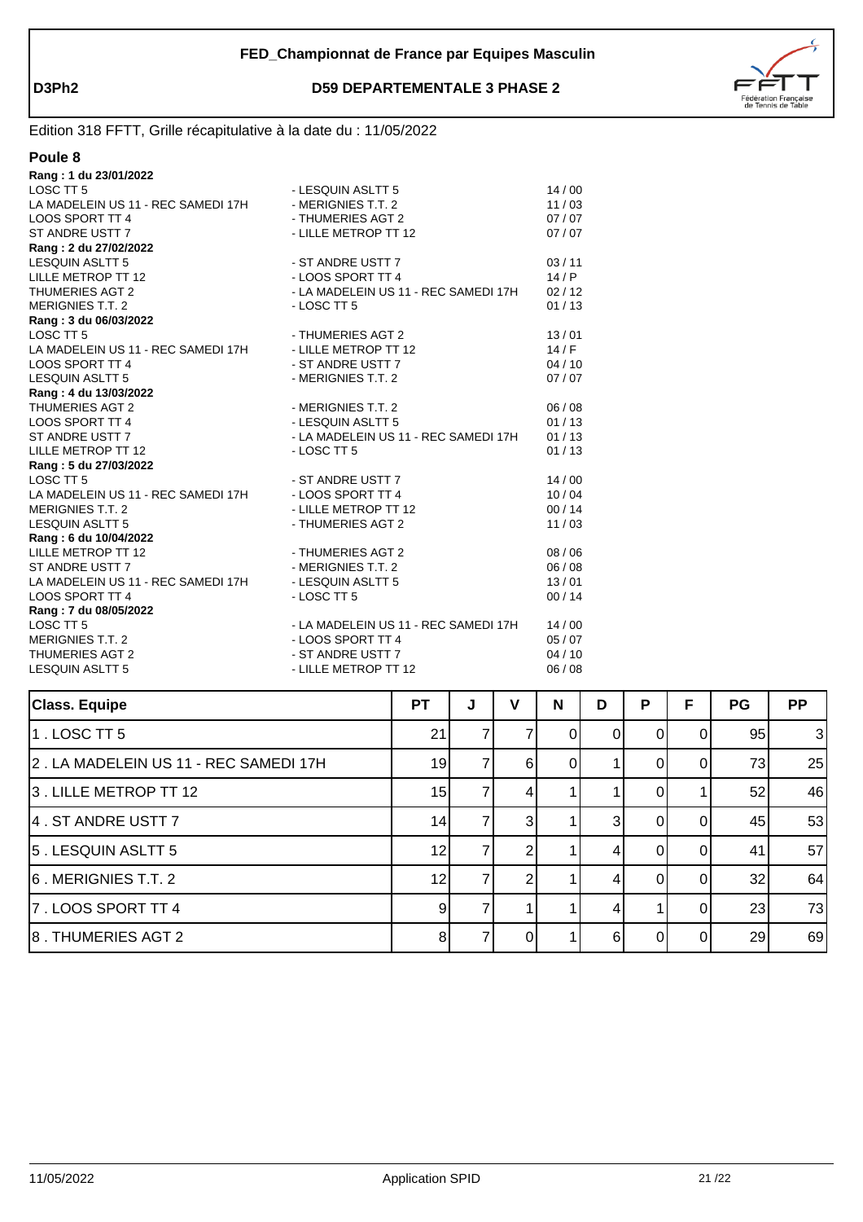

Edition 318 FFTT, Grille récapitulative à la date du : 11/05/2022

#### **Poule 8**

| Rang: 1 du 23/01/2022                                |                                      |         |
|------------------------------------------------------|--------------------------------------|---------|
| LOSC TT <sub>5</sub>                                 | - LESQUIN ASLTT 5                    | 14/00   |
| LA MADELEIN US 11 - REC SAMEDI 17H                   | - MERIGNIES T.T. 2                   | 11/03   |
| LOOS SPORT TT 4                                      | - THUMERIES AGT 2                    | 07/07   |
| ST ANDRE USTT 7                                      | - LILLE METROP TT 12                 | 07/07   |
| Rang: 2 du 27/02/2022                                |                                      |         |
| <b>LESQUIN ASLTT 5</b>                               | - ST ANDRE USTT 7                    | 03/11   |
| LILLE METROP TT 12                                   | - LOOS SPORT TT 4                    | 14/P    |
| <b>THUMERIES AGT 2</b>                               | - LA MADELEIN US 11 - REC SAMEDI 17H | 02/12   |
| <b>MERIGNIES T.T. 2</b>                              | - LOSC TT 5                          | 01/13   |
| Rang: 3 du 06/03/2022                                |                                      |         |
| LOSC TT <sub>5</sub>                                 | - THUMERIES AGT 2                    | 13/01   |
| LA MADELEIN US 11 - REC SAMEDI 17H                   | - LILLE METROP TT 12                 | 14/F    |
| <b>LOOS SPORT TT 4</b>                               | - ST ANDRE USTT 7                    | 04/10   |
| <b>LESQUIN ASLTT 5</b>                               | - MERIGNIES T.T. 2                   | 07/07   |
| Rang: 4 du 13/03/2022                                |                                      |         |
| <b>THUMERIES AGT 2</b>                               | - MERIGNIES T.T. 2                   | 06/08   |
| LOOS SPORT TT 4                                      | - LESQUIN ASLTT 5                    | 01/13   |
| ST ANDRE USTT 7                                      | - LA MADELEIN US 11 - REC SAMEDI 17H | 01/13   |
| LILLE METROP TT 12                                   | - LOSC TT 5                          | 01/13   |
| Rang: 5 du 27/03/2022                                |                                      |         |
| LOSC TT 5                                            | - ST ANDRE USTT 7                    | 14/00   |
| LA MADELEIN US 11 - REC SAMEDI 17H - LOOS SPORT TT 4 |                                      | 10/04   |
| <b>MERIGNIES T.T. 2</b>                              | - LILLE METROP TT 12                 | 00/14   |
| <b>LESQUIN ASLTT 5</b>                               | - THUMERIES AGT 2                    | 11/03   |
| Rang: 6 du 10/04/2022                                |                                      |         |
| LILLE METROP TT 12                                   | - THUMERIES AGT 2                    | 08 / 06 |
| ST ANDRE USTT 7                                      | - MERIGNIES T.T. 2                   | 06/08   |
| LA MADELEIN US 11 - REC SAMEDI 17H                   | - LESQUIN ASLTT 5                    | 13/01   |
| <b>LOOS SPORT TT 4</b>                               | - LOSC TT 5                          | 00/14   |
| Rang: 7 du 08/05/2022                                |                                      |         |
| LOSC TT <sub>5</sub>                                 | - LA MADELEIN US 11 - REC SAMEDI 17H | 14/00   |
| <b>MERIGNIES T.T. 2</b>                              | - LOOS SPORT TT 4                    | 05/07   |
| <b>THUMERIES AGT 2</b>                               | - ST ANDRE USTT 7                    | 04/10   |
| <b>LESQUIN ASLTT 5</b>                               | - LILLE METROP TT 12                 | 06/08   |

| <b>Class. Equipe</b>                  | <b>PT</b> | J | v | N | D | P | F | PG | <b>PP</b> |
|---------------------------------------|-----------|---|---|---|---|---|---|----|-----------|
| $1.$ LOSC TT 5                        | 21        |   |   |   | 0 |   |   | 95 | 3         |
| 2. LA MADELEIN US 11 - REC SAMEDI 17H | 19        |   | 6 |   |   |   |   | 73 | 25        |
| 3. LILLE METROP TT 12                 | 15        |   |   |   |   |   |   | 52 | 46        |
| 4. ST ANDRE USTT 7                    | 14        |   | 3 |   | 3 |   |   | 45 | 53        |
| 5. LESQUIN ASLTT 5                    | 12        |   |   |   |   |   |   | 41 | 57        |
| 6. MERIGNIES T.T. 2                   | 12        |   |   |   | 4 |   |   | 32 | 64        |
| 7. LOOS SPORT TT 4                    | 9         |   |   |   |   |   |   | 23 | 73        |
| 8. THUMERIES AGT 2                    | 8         |   |   |   | հ |   |   | 29 | 69        |